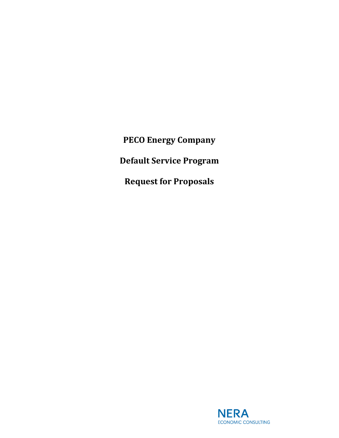**PECO Energy Company Default Service Program Request for Proposals**

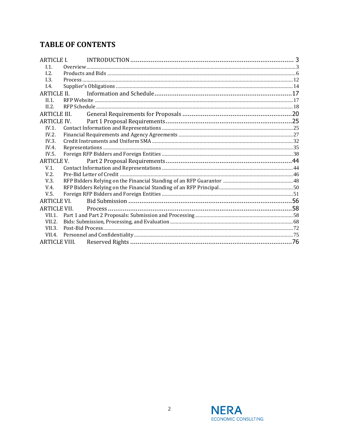# **TABLE OF CONTENTS**

| <b>ARTICLE I.</b>    |             |  |
|----------------------|-------------|--|
| I.1.                 |             |  |
| 1.2.                 |             |  |
| 1.3.                 |             |  |
| I.4.                 |             |  |
| ARTICLE II.          |             |  |
| $II.1$ .             |             |  |
| IL2.                 |             |  |
| <b>ARTICLE III.</b>  |             |  |
|                      | ARTICLE IV. |  |
| $IV.1$ .             |             |  |
| IV.2.                |             |  |
| IV.3.                |             |  |
| IV.4.                |             |  |
| IV.5.                |             |  |
| <b>ARTICLE V.</b>    |             |  |
| $V.1$ .              |             |  |
| V.2.                 |             |  |
| V.3.                 |             |  |
| V.4.                 |             |  |
| V.5.                 |             |  |
| ARTICLE VI.          |             |  |
| <b>ARTICLE VII.</b>  |             |  |
| $VII.1$ .            |             |  |
| VII.2.               |             |  |
| VII.3.               |             |  |
|                      |             |  |
| <b>ARTICLE VIII.</b> |             |  |

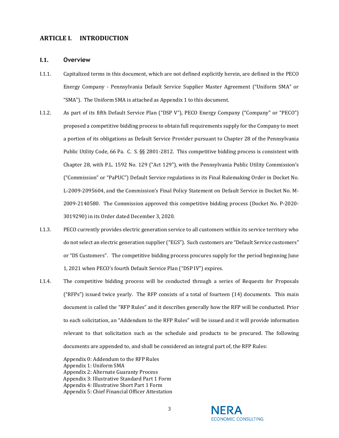# <span id="page-2-0"></span>**ARTICLE I. INTRODUCTION**

#### <span id="page-2-1"></span>**I.1. Overview**

- I.1.1. Capitalized terms in this document, which are not defined explicitly herein, are defined in the PECO Energy Company - Pennsylvania Default Service Supplier Master Agreement ("Uniform SMA" or "SMA"). The Uniform SMA is attached as Appendix 1 to this document.
- I.1.2. As part of its fifth Default Service Plan ("DSP V"), PECO Energy Company ("Company" or "PECO") proposed a competitive bidding process to obtain full requirements supply for the Company to meet a portion of its obligations as Default Service Provider pursuant to Chapter 28 of the Pennsylvania Public Utility Code, 66 Pa. C. S. §§ 2801-2812. This competitive bidding process is consistent with Chapter 28, with P.L. 1592 No. 129 ("Act 129"), with the Pennsylvania Public Utility Commission's ("Commission" or "PaPUC") Default Service regulations in its Final Rulemaking Order in Docket No. L-2009-2095604, and the Commission's Final Policy Statement on Default Service in Docket No. M-2009-2140580. The Commission approved this competitive bidding process (Docket No. P-2020- 3019290) in its Order dated December 3, 2020.
- I.1.3. PECO currently provides electric generation service to all customers within its service territory who do not select an electric generation supplier ("EGS"). Such customers are "Default Service customers" or "DS Customers". The competitive bidding process procures supply for the period beginning June 1, 2021 when PECO's fourth Default Service Plan ("DSP IV") expires.
- I.1.4. The competitive bidding process will be conducted through a series of Requests for Proposals ("RFPs") issued twice yearly. The RFP consists of a total of fourteen (14) documents. This main document is called the "RFP Rules" and it describes generally how the RFP will be conducted. Prior to each solicitation, an "Addendum to the RFP Rules" will be issued and it will provide information relevant to that solicitation such as the schedule and products to be procured. The following documents are appended to, and shall be considered an integral part of, the RFP Rules:

Appendix 0: Addendum to the RFP Rules Appendix 1: Uniform SMA Appendix 2: Alternate Guaranty Process Appendix 3: Illustrative Standard Part 1 Form Appendix 4: Illustrative Short Part 1 Form Appendix 5: Chief Financial Officer Attestation

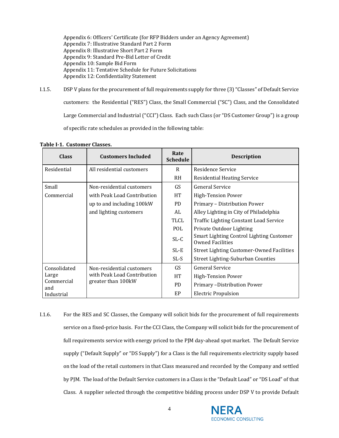Appendix 6: Officers' Certificate (for RFP Bidders under an Agency Agreement) Appendix 7: Illustrative Standard Part 2 Form Appendix 8: Illustrative Short Part 2 Form Appendix 9: Standard Pre-Bid Letter of Credit Appendix 10: Sample Bid Form Appendix 11: Tentative Schedule for Future Solicitations Appendix 12: Confidentiality Statement

I.1.5. DSP V plans for the procurement of full requirements supply for three (3) "Classes" of Default Service customers: the Residential ("RES") Class, the Small Commercial ("SC") Class, and the Consolidated Large Commercial and Industrial ("CCI") Class. Each such Class (or "DS Customer Group") is a group of specific rate schedules as provided in the following table:

|  |  | Table I-1. Customer Classes. |  |
|--|--|------------------------------|--|
|--|--|------------------------------|--|

| <b>Class</b>      | <b>Customers Included</b>   | Rate<br><b>Schedule</b> | <b>Description</b>                                                  |
|-------------------|-----------------------------|-------------------------|---------------------------------------------------------------------|
| Residential       | All residential customers   | R                       | Residence Service                                                   |
|                   |                             | <b>RH</b>               | <b>Residential Heating Service</b>                                  |
| Small             | Non-residential customers   | GS                      | General Service                                                     |
| Commercial        | with Peak Load Contribution | <b>HT</b>               | <b>High-Tension Power</b>                                           |
|                   | up to and including 100kW   | P <sub>D</sub>          | Primary - Distribution Power                                        |
|                   | and lighting customers      | AL                      | Alley Lighting in City of Philadelphia                              |
|                   |                             | TLCL                    | <b>Traffic Lighting Constant Load Service</b>                       |
|                   |                             | POL                     | Private Outdoor Lighting                                            |
|                   |                             | $SL-C$                  | Smart Lighting Control Lighting Customer<br><b>Owned Facilities</b> |
|                   |                             | $SL-E$                  | <b>Street Lighting Customer-Owned Facilities</b>                    |
|                   |                             | SL-S                    | <b>Street Lighting-Suburban Counties</b>                            |
| Consolidated      | Non-residential customers   | GS                      | <b>General Service</b>                                              |
| Large             | with Peak Load Contribution |                         | High-Tension Power                                                  |
| Commercial<br>and | greater than 100 kW         | PD.                     | Primary -Distribution Power                                         |
| Industrial        |                             | EP                      | <b>Electric Propulsion</b>                                          |

I.1.6. For the RES and SC Classes, the Company will solicit bids for the procurement of full requirements service on a fixed-price basis. For the CCI Class, the Company will solicit bids for the procurement of full requirements service with energy priced to the PJM day-ahead spot market. The Default Service supply ("Default Supply" or "DS Supply") for a Class is the full requirements electricity supply based on the load of the retail customers in that Class measured and recorded by the Company and settled by PJM. The load of the Default Service customers in a Class is the "Default Load" or "DS Load" of that Class. A supplier selected through the competitive bidding process under DSP V to provide Default

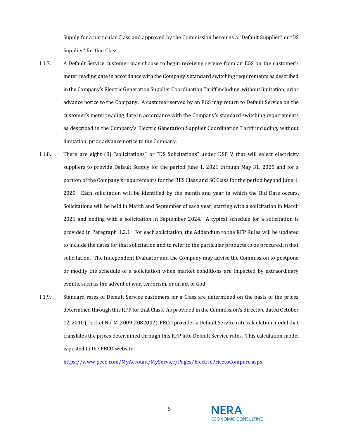Supply for a particular Class and approved by the Commission becomes a "Default Supplier" or "DS Supplier" for that Class.

- I.1.7. A Default Service customer may choose to begin receiving service from an EGS on the customer's meter reading date in accordance with the Company's standard switching requirements as described in the Company's Electric Generation Supplier Coordination Tariff including, without limitation, prior advance notice to the Company. A customer served by an EGS may return to Default Service on the customer's meter reading date in accordance with the Company's standard switching requirements as described in the Company's Electric Generation Supplier Coordination Tariff including, without limitation, prior advance notice to the Company.
- I.1.8. There are eight (8) "solicitations" or "DS Solicitations" under DSP V that will select electricity suppliers to provide Default Supply for the period June 1, 2021 through May 31, 2025 and for a portion of the Company's requirements for the RES Class and SC Class for the period beyond June 1, 2025. Each solicitation will be identified by the month and year in which the Bid Date occurs. Solicitations will be held in March and September of each year, starting with a solicitation in March 2021 and ending with a solicitation in September 2024. A typical schedule for a solicitation is provided in Paragraph [II.2.1.](#page-17-1) For each solicitation, the Addendum to the RFP Rules will be updated to include the dates for that solicitation and to refer to the particular products to be procured in that solicitation. The Independent Evaluator and the Company may advise the Commission to postpone or modify the schedule of a solicitation when market conditions are impacted by extraordinary events, such as the advent of war, terrorism, or an act of God.
- I.1.9. Standard rates of Default Service customers for a Class are determined on the basis of the prices determined through this RFP for that Class. As provided in the Commission's directive dated October 12, 2010 (Docket No. M-2009-2082042), PECO provides a Default Service rate calculation model that translates the prices determined through this RFP into Default Service rates. This calculation model is posted to the PECO website:

<https://www.peco.com/MyAccount/MyService/Pages/ElectricPricetoCompare.aspx>

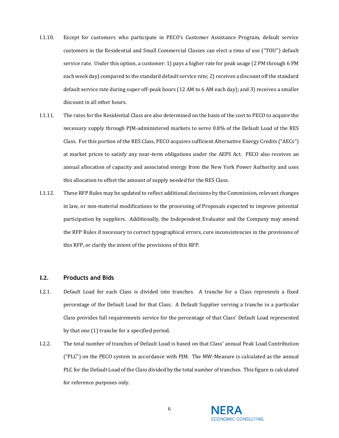- I.1.10. Except for customers who participate in PECO's Customer Assistance Program, default service customers in the Residential and Small Commercial Classes can elect a time of use ("TOU") default service rate. Under this option, a customer: 1) pays a higher rate for peak usage (2 PM through 6 PM each week day) compared to the standard default service rate; 2) receives a discount off the standard default service rate during super off-peak hours (12 AM to 6 AM each day); and 3) receives a smaller discount in all other hours.
- I.1.11. The rates for the Residential Class are also determined on the basis of the cost to PECO to acquire the necessary supply through PJM-administered markets to serve 0.8% of the Default Load of the RES Class. For this portion of the RES Class, PECO acquires sufficient Alternative Energy Credits ("AECs") at market prices to satisfy any near-term obligations under the AEPS Act. PECO also receives an annual allocation of capacity and associated energy from the New York Power Authority and uses this allocation to offset the amount of supply needed for the RES Class.
- I.1.12. These RFP Rules may be updated to reflect additional decisions by the Commission, relevant changes in law, or non-material modifications to the processing of Proposals expected to improve potential participation by suppliers. Additionally, the Independent Evaluator and the Company may amend the RFP Rules if necessary to correct typographical errors, cure inconsistencies in the provisions of this RFP, or clarify the intent of the provisions of this RFP.

# <span id="page-5-0"></span>**I.2. Products and Bids**

- I.2.1. Default Load for each Class is divided into tranches. A tranche for a Class represents a fixed percentage of the Default Load for that Class. A Default Supplier serving a tranche in a particular Class provides full requirements service for the percentage of that Class' Default Load represented by that one (1) tranche for a specified period.
- I.2.2. The total number of tranches of Default Load is based on that Class' annual Peak Load Contribution ("PLC") on the PECO system in accordance with PJM. The MW-Measure is calculated as the annual PLC for the Default Load of the Class divided by the total number of tranches. This figure is calculated for reference purposes only.

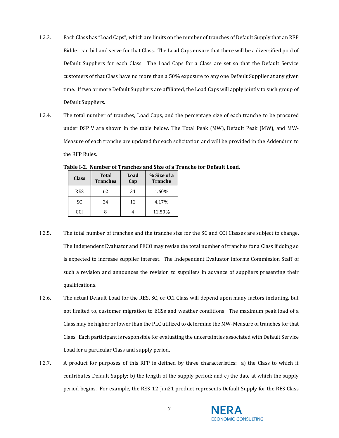- I.2.3. Each Class has "Load Caps", which are limits on the number of tranches of Default Supply that an RFP Bidder can bid and serve for that Class. The Load Caps ensure that there will be a diversified pool of Default Suppliers for each Class. The Load Caps for a Class are set so that the Default Service customers of that Class have no more than a 50% exposure to any one Default Supplier at any given time. If two or more Default Suppliers are affiliated, the Load Caps will apply jointly to such group of Default Suppliers.
- I.2.4. The total number of tranches, Load Caps, and the percentage size of each tranche to be procured under DSP V are shown in the table below. The Total Peak (MW), Default Peak (MW), and MW-Measure of each tranche are updated for each solicitation and will be provided in the Addendum to the RFP Rules.

| <b>Class</b> | <b>Total</b><br><b>Tranches</b> | Load<br>Cap | % Size of a<br><b>Tranche</b> |
|--------------|---------------------------------|-------------|-------------------------------|
| <b>RES</b>   | 62                              | 31          | 1.60%                         |
| SC           | 24                              | 12          | 4.17%                         |
| CCI          |                                 |             | 12.50%                        |

**Table I-2. Number of Tranches and Size of a Tranche for Default Load.**

- I.2.5. The total number of tranches and the tranche size for the SC and CCI Classes are subject to change. The Independent Evaluator and PECO may revise the total number of tranches for a Class if doing so is expected to increase supplier interest. The Independent Evaluator informs Commission Staff of such a revision and announces the revision to suppliers in advance of suppliers presenting their qualifications.
- I.2.6. The actual Default Load for the RES, SC, or CCI Class will depend upon many factors including, but not limited to, customer migration to EGSs and weather conditions. The maximum peak load of a Class may be higher or lower than the PLC utilized to determine the MW-Measure of tranches for that Class. Each participant is responsible for evaluating the uncertainties associated with Default Service Load for a particular Class and supply period.
- I.2.7. A product for purposes of this RFP is defined by three characteristics: a) the Class to which it contributes Default Supply; b) the length of the supply period; and c) the date at which the supply period begins. For example, the RES-12-Jun21 product represents Default Supply for the RES Class

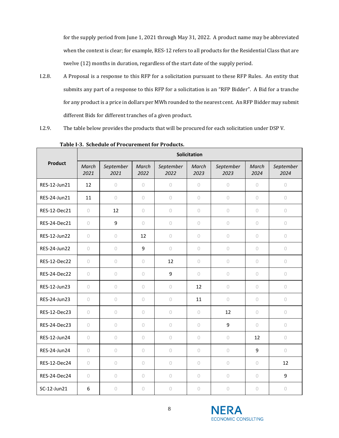for the supply period from June 1, 2021 through May 31, 2022. A product name may be abbreviated when the context is clear; for example, RES-12 refers to all products for the Residential Class that are twelve (12) months in duration, regardless of the start date of the supply period.

- I.2.8. A Proposal is a response to this RFP for a solicitation pursuant to these RFP Rules. An entity that submits any part of a response to this RFP for a solicitation is an "RFP Bidder". A Bid for a tranche for any product is a price in dollars per MWh rounded to the nearest cent. An RFP Bidder may submit different Bids for different tranches of a given product.
- I.2.9. The table below provides the products that will be procured for each solicitation under DSP V.

|                | Solicitation  |                   |               |                     |               |                   |               |                   |
|----------------|---------------|-------------------|---------------|---------------------|---------------|-------------------|---------------|-------------------|
| <b>Product</b> | March<br>2021 | September<br>2021 | March<br>2022 | September<br>2022   | March<br>2023 | September<br>2023 | March<br>2024 | September<br>2024 |
| RES-12-Jun21   | 12            | $\bigcirc$        | 0             | $\circ$             | $\circ$       | $\circ$           | $\circ$       | $\circ$           |
| RES-24-Jun21   | 11            | $\circ$           | $\circ$       | $\circ$             | $\circ$       | 0                 | $\circ$       | $\circ$           |
| RES-12-Dec21   | $\circ$       | 12                | $\circ$       | $\circ$             | $\circ$       | $\circ$           | $\circ$       | $\circ$           |
| RES-24-Dec21   | $\circ$       | 9                 | 0             | $\circ$             | 0             | $\circ$           | $\circ$       | $\circ$           |
| RES-12-Jun22   | $\circ$       | $\bigcirc$        | 12            | $\circ$             | $\circ$       | $\bigcirc$        | $\circ$       | $\circ$           |
| RES-24-Jun22   | $\circ$       | $\circ$           | 9             | $\circ$             | $\circ$       | $\circ$           | $\circ$       | $\circ$           |
| RES-12-Dec22   | $\circ$       | $\circ$           | $\circ$       | 12                  | $\circ$       | $\bigcirc$        | $\circ$       | $\circ$           |
| RES-24-Dec22   | $\circ$       | $\bigcirc$        | $\circ$       | 9                   | $\circ$       | $\bigcirc$        | $\bigcirc$    | $\circ$           |
| RES-12-Jun23   | $\bigcirc$    | $\bigcirc$        | $\circ$       | $\bigcirc$          | 12            | $\bigcirc$        | $\bigcirc$    | $\circ$           |
| RES-24-Jun23   | $\circ$       | $\bigcirc$        | $\circ$       | $\circlearrowright$ | 11            | $\bigcirc$        | $\bigcirc$    | $\bigcirc$        |
| RES-12-Dec23   | $\circ$       | $\bigcirc$        | $\circ$       | $\bigcirc$          | $\circ$       | 12                | $\bigcirc$    | $\circ$           |
| RES-24-Dec23   | $\circ$       | $\circ$           | $\circ$       | $\circ$             | $\circ$       | 9                 | $\circ$       | $\circ$           |
| RES-12-Jun24   | $\circ$       | $\bigcirc$        | 0             | $\circ$             | $\circ$       | $\circ$           | 12            | $\circ$           |
| RES-24-Jun24   | $\circ$       | $\circ$           | 0             | $\circ$             | $\circ$       | $\circ$           | 9             | $\circ$           |
| RES-12-Dec24   | $\circ$       | $\circ$           | 0             | $\circ$             | $\circ$       | $\circ$           | $\circ$       | 12                |
| RES-24-Dec24   | $\circ$       | $\circ$           | $\circ$       | $\circ$             | $\circ$       | $\circ$           | $\circ$       | 9                 |
| SC-12-Jun21    | 6             | $\circ$           | $\circ$       | $\circ$             | $\circ$       | 0                 | $\circ$       | $\bigcirc$        |

**Table I-3. Schedule of Procurement for Products.**

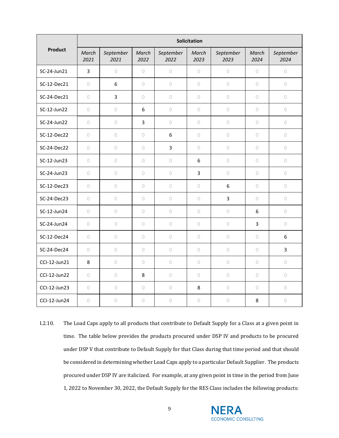|                | <b>Solicitation</b> |                   |               |                   |                |                     |               |                   |
|----------------|---------------------|-------------------|---------------|-------------------|----------------|---------------------|---------------|-------------------|
| <b>Product</b> | March<br>2021       | September<br>2021 | March<br>2022 | September<br>2022 | March<br>2023  | September<br>2023   | March<br>2024 | September<br>2024 |
| SC-24-Jun21    | $\overline{3}$      | $\bigcirc$        | 0             | $\bigcirc$        | $\bigcirc$     | $\cup$              | $\bigcirc$    | $\bigcirc$        |
| SC-12-Dec21    | $\circ$             | 6                 | 0             | $\bigcirc$        | $\circ$        | $\circlearrowright$ | $\circ$       | $\bigcirc$        |
| SC-24-Dec21    | $\circ$             | $\overline{3}$    | 0             | $\circ$           | $\circ$        | $\circ$             | $\circ$       | $\circ$           |
| SC-12-Jun22    | $\circ$             | $\bigcirc$        | 6             | $\bigcirc$        | $\bigcirc$     | $\cup$              | $\circ$       | $\bigcirc$        |
| SC-24-Jun22    | $\bigcirc$          | $\bigcirc$        | 3             | $\bigcirc$        | $\bigcirc$     | $\bigcirc$          | $\circ$       | $\bigcirc$        |
| SC-12-Dec22    | $\circ$             | $\bigcirc$        | 0             | 6                 | $\bigcirc$     | $\circlearrowright$ | $\circ$       | $\bigcirc$        |
| SC-24-Dec22    | $\circ$             | $\bigcirc$        | 0             | $\overline{3}$    | $\circ$        | $\bigcirc$          | 0             | 0                 |
| SC-12-Jun23    | $\circ$             | $\bigcirc$        | $\circ$       | $\bigcirc$        | 6              | $\circ$             | $\circ$       | $\bigcirc$        |
| SC-24-Jun23    | $\circ$             | $\bigcirc$        | 0             | $\circ$           | $\overline{3}$ | $\bigcirc$          | $\circ$       | $\bigcirc$        |
| SC-12-Dec23    | $\circ$             | $\bigcirc$        | $\circ$       | $\bigcirc$        | $\bigcirc$     | $\boldsymbol{6}$    | $\bigcirc$    | $\bigcirc$        |
| SC-24-Dec23    | $\circ$             | $\bigcirc$        | $\circ$       | $\bigcirc$        | $\circ$        | 3                   | $\circ$       | $\bigcirc$        |
| SC-12-Jun24    | $\circ$             | $\bigcirc$        | 0             | $\circ$           | $\circ$        | $\circlearrowright$ | 6             | $\bigcirc$        |
| SC-24-Jun24    | $\circ$             | $\circ$           | 0             | $\circ$           | $\circ$        | $\cup$              | 3             | $\circ$           |
| SC-12-Dec24    | $\circlearrowright$ | $\bigcirc$        | $\circ$       | $\bigcirc$        | $\bigcirc$     | $\circlearrowright$ | $\bigcirc$    | 6                 |
| SC-24-Dec24    | $\circ$             | $\bigcirc$        | 0             | $\bigcirc$        | $\circ$        | $\bigcirc$          | $\circ$       | 3                 |
| CCI-12-Jun21   | 8                   | $\circ$           | 0             | $\bigcirc$        | $\circ$        | $\circlearrowright$ | $\circ$       | $\bigcirc$        |
| CCI-12-Jun22   | $\circ$             | $\bigcirc$        | 8             | $\bigcirc$        | $\circ$        | $\circ$             | $\circ$       | $\bigcirc$        |
| CCI-12-Jun23   | $\bigcirc$          | $\bigcirc$        | 0             | $\bigcirc$        | 8              | $\bigcirc$          | $\bigcirc$    | $\bigcirc$        |
| CCI-12-Jun24   | $\circ$             | $\circ$           | 0             | $\bigcirc$        | $\bigcirc$     | $\circ$             | 8             | $\bigcirc$        |

I.2.10. The Load Caps apply to all products that contribute to Default Supply for a Class at a given point in time. The table below provides the products procured under DSP IV and products to be procured under DSP V that contribute to Default Supply for that Class during that time period and that should be considered in determining whether Load Caps apply to a particular Default Supplier. The products procured under DSP IV are italicized. For example, at any given point in time in the period from June 1, 2022 to November 30, 2022, the Default Supply for the RES Class includes the following products:

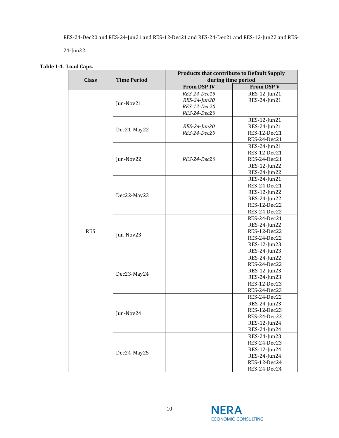RES-24-Dec20 and RES-24-Jun21 and RES-12-Dec21 and RES-24-Dec21 and RES-12-Jun22 and RES-

24-Jun22.

| Table I-4. Load Caps. |
|-----------------------|
|                       |

|              |                    | <b>Products that contribute to Default Supply</b> |                              |  |  |
|--------------|--------------------|---------------------------------------------------|------------------------------|--|--|
| <b>Class</b> | <b>Time Period</b> | during time period                                |                              |  |  |
|              |                    | <b>From DSP IV</b>                                | <b>From DSP V</b>            |  |  |
|              |                    | RES-24-Dec19                                      | RES-12-Jun21                 |  |  |
|              | Jun-Nov21          | RES-24-Jun20                                      | RES-24-Jun21                 |  |  |
|              |                    | RES-12-Dec20                                      |                              |  |  |
|              |                    | RES-24-Dec20                                      |                              |  |  |
|              |                    |                                                   | RES-12-Jun21                 |  |  |
|              | Dec21-May22        | RES-24-Jun20                                      | RES-24-Jun21                 |  |  |
|              |                    | RES-24-Dec20                                      | RES-12-Dec21                 |  |  |
|              |                    |                                                   | RES-24-Dec21                 |  |  |
|              |                    |                                                   | RES-24-Jun21                 |  |  |
|              |                    |                                                   | RES-12-Dec21                 |  |  |
|              | Jun-Nov22          | RES-24-Dec20                                      | RES-24-Dec21                 |  |  |
|              |                    |                                                   | RES-12-Jun22                 |  |  |
|              |                    |                                                   | RES-24-Jun22                 |  |  |
|              |                    |                                                   | RES-24-Jun21                 |  |  |
|              |                    |                                                   | RES-24-Dec21                 |  |  |
|              | Dec22-May23        |                                                   | RES-12-Jun22                 |  |  |
|              |                    |                                                   | RES-24-Jun22                 |  |  |
|              |                    |                                                   | RES-12-Dec22                 |  |  |
|              |                    |                                                   | RES-24-Dec22                 |  |  |
|              |                    |                                                   | RES-24-Dec21                 |  |  |
| <b>RES</b>   |                    |                                                   | RES-24-Jun22<br>RES-12-Dec22 |  |  |
|              | Jun-Nov23          |                                                   | RES-24-Dec22                 |  |  |
|              |                    |                                                   | RES-12-Jun23                 |  |  |
|              |                    |                                                   | RES-24-Jun23                 |  |  |
|              |                    |                                                   | RES-24-Jun22                 |  |  |
|              |                    |                                                   | RES-24-Dec22                 |  |  |
|              |                    |                                                   | RES-12-Jun23                 |  |  |
|              | Dec23-May24        |                                                   | RES-24-Jun23                 |  |  |
|              |                    |                                                   | RES-12-Dec23                 |  |  |
|              |                    |                                                   | RES-24-Dec23                 |  |  |
|              |                    |                                                   | RES-24-Dec22                 |  |  |
|              |                    |                                                   | RES-24-Jun23                 |  |  |
|              |                    |                                                   | RES-12-Dec23                 |  |  |
|              | Jun-Nov24          |                                                   | RES-24-Dec23                 |  |  |
|              |                    |                                                   | RES-12-Jun24                 |  |  |
|              |                    |                                                   | RES-24-Jun24                 |  |  |
|              |                    |                                                   | RES-24-Jun23                 |  |  |
|              |                    |                                                   | RES-24-Dec23                 |  |  |
|              |                    |                                                   | RES-12-Jun24                 |  |  |
|              | Dec24-May25        |                                                   | RES-24-Jun24                 |  |  |
|              |                    |                                                   | RES-12-Dec24                 |  |  |
|              |                    |                                                   | RES-24-Dec24                 |  |  |

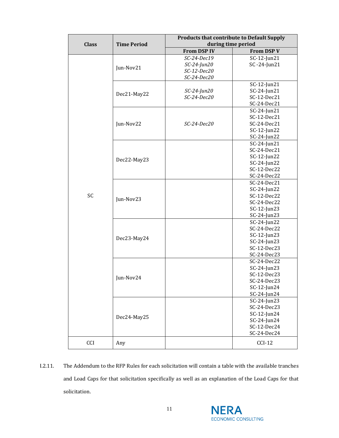| <b>Class</b> | <b>Time Period</b> | <b>Products that contribute to Default Supply</b><br>during time period |                                                                                           |  |  |
|--------------|--------------------|-------------------------------------------------------------------------|-------------------------------------------------------------------------------------------|--|--|
|              |                    | <b>From DSP IV</b>                                                      | <b>From DSP V</b>                                                                         |  |  |
|              | Jun-Nov21          | $SC-24-Dec19$<br>$SC-24$ -Jun20<br>SC-12-Dec20<br>SC-24-Dec20           | SC-12-Jun21<br>SC-24-Jun21                                                                |  |  |
|              | Dec21-May22        | $SC-24$ -Jun20<br>$SC-24-Dec20$                                         | SC-12-Jun21<br>$SC-24$ -Jun21<br>SC-12-Dec21<br>SC-24-Dec21                               |  |  |
|              | Jun-Nov22          | $SC-24-Dec20$                                                           | $SC-24$ -Jun21<br>SC-12-Dec21<br>SC-24-Dec21<br>SC-12-Jun22<br>$SC-24$ -Jun22             |  |  |
|              | Dec22-May23        |                                                                         | SC-24-Jun21<br>SC-24-Dec21<br>SC-12-Jun22<br>$SC-24$ -Jun22<br>SC-12-Dec22<br>SC-24-Dec22 |  |  |
| SC           | Jun-Nov23          |                                                                         | SC-24-Dec21<br>$SC-24$ -Jun22<br>SC-12-Dec22<br>SC-24-Dec22<br>SC-12-Jun23<br>SC-24-Jun23 |  |  |
|              | Dec23-May24        |                                                                         | $SC-24$ -Jun22<br>SC-24-Dec22<br>SC-12-Jun23<br>SC-24-Jun23<br>SC-12-Dec23<br>SC-24-Dec23 |  |  |
|              | Jun-Nov24          |                                                                         | SC-24-Dec22<br>SC-24-Jun23<br>SC-12-Dec23<br>SC-24-Dec23<br>SC-12-Jun24<br>SC-24-Jun24    |  |  |
|              | Dec24-May25        |                                                                         | SC-24-Jun23<br>SC-24-Dec23<br>SC-12-Jun24<br>$SC-24$ -Jun24<br>SC-12-Dec24<br>SC-24-Dec24 |  |  |
| CCI          | Any                |                                                                         | $CCI-12$                                                                                  |  |  |

I.2.11. The Addendum to the RFP Rules for each solicitation will contain a table with the available tranches and Load Caps for that solicitation specifically as well as an explanation of the Load Caps for that solicitation.

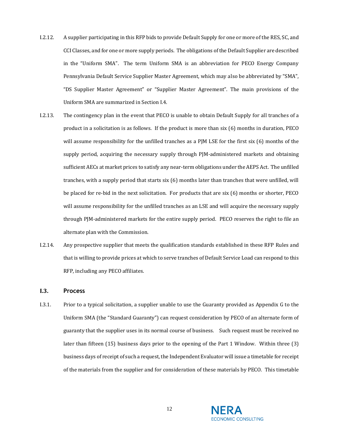- I.2.12. A supplier participating in this RFP bids to provide Default Supply for one or more of the RES, SC, and CCI Classes, and for one or more supply periods. The obligations of the Default Supplier are described in the "Uniform SMA". The term Uniform SMA is an abbreviation for PECO Energy Company Pennsylvania Default Service Supplier Master Agreement, which may also be abbreviated by "SMA", "DS Supplier Master Agreement" or "Supplier Master Agreement". The main provisions of the Uniform SMA are summarized in Sectio[n I.4.](#page-13-0)
- I.2.13. The contingency plan in the event that PECO is unable to obtain Default Supply for all tranches of a product in a solicitation is as follows. If the product is more than six (6) months in duration, PECO will assume responsibility for the unfilled tranches as a PJM LSE for the first six (6) months of the supply period, acquiring the necessary supply through PJM-administered markets and obtaining sufficient AECs at market prices to satisfy any near-term obligations under the AEPS Act. The unfilled tranches, with a supply period that starts six (6) months later than tranches that were unfilled, will be placed for re-bid in the next solicitation. For products that are six (6) months or shorter, PECO will assume responsibility for the unfilled tranches as an LSE and will acquire the necessary supply through PJM-administered markets for the entire supply period. PECO reserves the right to file an alternate plan with the Commission.
- I.2.14. Any prospective supplier that meets the qualification standards established in these RFP Rules and that is willing to provide prices at which to serve tranches of Default Service Load can respond to this RFP, including any PECO affiliates.

#### <span id="page-11-0"></span>**I.3. Process**

I.3.1. Prior to a typical solicitation, a supplier unable to use the Guaranty provided as Appendix G to the Uniform SMA (the "Standard Guaranty") can request consideration by PECO of an alternate form of guaranty that the supplier uses in its normal course of business. Such request must be received no later than fifteen (15) business days prior to the opening of the Part 1 Window. Within three (3) business days of receipt of such a request, the Independent Evaluator will issue a timetable for receipt of the materials from the supplier and for consideration of these materials by PECO. This timetable

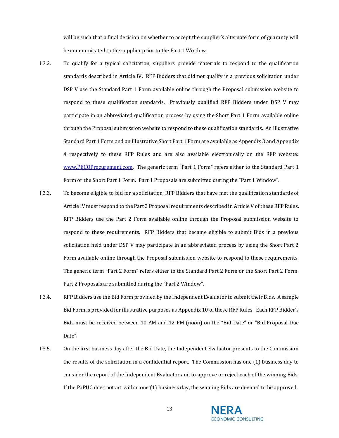will be such that a final decision on whether to accept the supplier's alternate form of guaranty will be communicated to the supplier prior to the Part 1 Window.

- I.3.2. To qualify for a typical solicitation, suppliers provide materials to respond to the qualification standards described in [Article IV.](#page-24-0) RFP Bidders that did not qualify in a previous solicitation under DSP V use the Standard Part 1 Form available online through the Proposal submission website to respond to these qualification standards. Previously qualified RFP Bidders under DSP V may participate in an abbreviated qualification process by using the Short Part 1 Form available online through the Proposal submission website to respond to these qualification standards. An Illustrative Standard Part 1 Form and an Illustrative Short Part 1 Form are available as Appendix 3 and Appendix 4 respectively to these RFP Rules and are also available electronically on the RFP website: [www.PECOProcurement.com.](http://www.pecoprocurement.com/) The generic term "Part 1 Form" refers either to the Standard Part 1 Form or the Short Part 1 Form. Part 1 Proposals are submitted during the "Part 1 Window".
- I.3.3. To become eligible to bid for a solicitation, RFP Bidders that have met the qualification standards of Article IV must respond to the Part 2 Proposal requirements described i[n Article V](#page-43-0) of these RFP Rules. RFP Bidders use the Part 2 Form available online through the Proposal submission website to respond to these requirements. RFP Bidders that became eligible to submit Bids in a previous solicitation held under DSP V may participate in an abbreviated process by using the Short Part 2 Form available online through the Proposal submission website to respond to these requirements. The generic term "Part 2 Form" refers either to the Standard Part 2 Form or the Short Part 2 Form. Part 2 Proposals are submitted during the "Part 2 Window".
- I.3.4. RFP Bidders use the Bid Form provided by the Independent Evaluator to submit their Bids. A sample Bid Form is provided for illustrative purposes as Appendix 10 of these RFP Rules. Each RFP Bidder's Bids must be received between 10 AM and 12 PM (noon) on the "Bid Date" or "Bid Proposal Due Date".
- I.3.5. On the first business day after the Bid Date, the Independent Evaluator presents to the Commission the results of the solicitation in a confidential report. The Commission has one (1) business day to consider the report of the Independent Evaluator and to approve or reject each of the winning Bids. If the PaPUC does not act within one (1) business day, the winning Bids are deemed to be approved.



13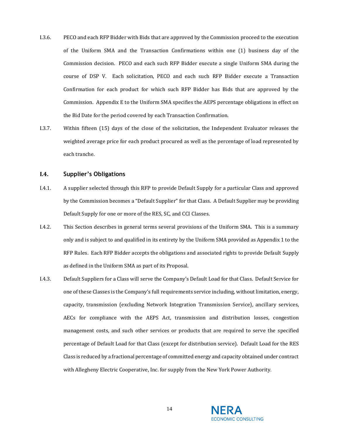- I.3.6. PECO and each RFP Bidder with Bids that are approved by the Commission proceed to the execution of the Uniform SMA and the Transaction Confirmations within one (1) business day of the Commission decision. PECO and each such RFP Bidder execute a single Uniform SMA during the course of DSP V. Each solicitation, PECO and each such RFP Bidder execute a Transaction Confirmation for each product for which such RFP Bidder has Bids that are approved by the Commission. Appendix E to the Uniform SMA specifies the AEPS percentage obligations in effect on the Bid Date for the period covered by each Transaction Confirmation.
- I.3.7. Within fifteen (15) days of the close of the solicitation, the Independent Evaluator releases the weighted average price for each product procured as well as the percentage of load represented by each tranche.

#### <span id="page-13-0"></span>**I.4. Supplier's Obligations**

- I.4.1. A supplier selected through this RFP to provide Default Supply for a particular Class and approved by the Commission becomes a "Default Supplier" for that Class. A Default Supplier may be providing Default Supply for one or more of the RES, SC, and CCI Classes.
- I.4.2. This Section describes in general terms several provisions of the Uniform SMA. This is a summary only and is subject to and qualified in its entirety by the Uniform SMA provided as Appendix 1 to the RFP Rules. Each RFP Bidder accepts the obligations and associated rights to provide Default Supply as defined in the Uniform SMA as part of its Proposal.
- I.4.3. Default Suppliers for a Class will serve the Company's Default Load for that Class. Default Service for one of these Classes is the Company's full requirements service including, without limitation, energy, capacity, transmission (excluding Network Integration Transmission Service), ancillary services, AECs for compliance with the AEPS Act, transmission and distribution losses, congestion management costs, and such other services or products that are required to serve the specified percentage of Default Load for that Class (except for distribution service). Default Load for the RES Class is reduced by a fractional percentage of committed energy and capacity obtained under contract with Allegheny Electric Cooperative, Inc. for supply from the New York Power Authority.

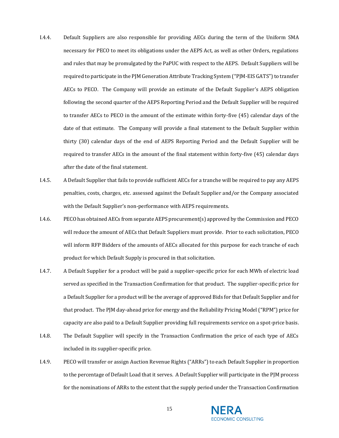- I.4.4. Default Suppliers are also responsible for providing AECs during the term of the Uniform SMA necessary for PECO to meet its obligations under the AEPS Act, as well as other Orders, regulations and rules that may be promulgated by the PaPUC with respect to the AEPS. Default Suppliers will be required to participate in the PJM Generation Attribute Tracking System ("PJM-EIS GATS") to transfer AECs to PECO. The Company will provide an estimate of the Default Supplier's AEPS obligation following the second quarter of the AEPS Reporting Period and the Default Supplier will be required to transfer AECs to PECO in the amount of the estimate within forty-five (45) calendar days of the date of that estimate. The Company will provide a final statement to the Default Supplier within thirty (30) calendar days of the end of AEPS Reporting Period and the Default Supplier will be required to transfer AECs in the amount of the final statement within forty-five (45) calendar days after the date of the final statement.
- I.4.5. A Default Supplier that fails to provide sufficient AECs for a tranche will be required to pay any AEPS penalties, costs, charges, etc. assessed against the Default Supplier and/or the Company associated with the Default Supplier's non-performance with AEPS requirements.
- I.4.6. PECO has obtained AECs from separate AEPS procurement(s) approved by the Commission and PECO will reduce the amount of AECs that Default Suppliers must provide. Prior to each solicitation, PECO will inform RFP Bidders of the amounts of AECs allocated for this purpose for each tranche of each product for which Default Supply is procured in that solicitation.
- I.4.7. A Default Supplier for a product will be paid a supplier-specific price for each MWh of electric load served as specified in the Transaction Confirmation for that product. The supplier-specific price for a Default Supplier for a product will be the average of approved Bids for that Default Supplier and for that product. The PJM day-ahead price for energy and the Reliability Pricing Model ("RPM") price for capacity are also paid to a Default Supplier providing full requirements service on a spot-price basis.
- I.4.8. The Default Supplier will specify in the Transaction Confirmation the price of each type of AECs included in its supplier-specific price.
- I.4.9. PECO will transfer or assign Auction Revenue Rights ("ARRs") to each Default Supplier in proportion to the percentage of Default Load that it serves. A Default Supplier will participate in the PJM process for the nominations of ARRs to the extent that the supply period under the Transaction Confirmation



15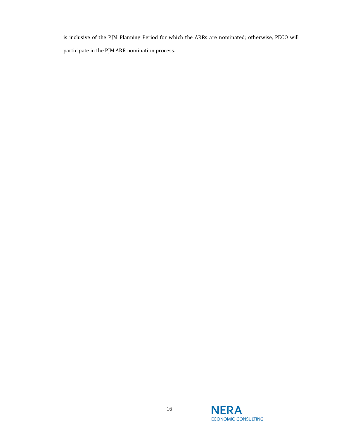is inclusive of the PJM Planning Period for which the ARRs are nominated; otherwise, PECO will participate in the PJM ARR nomination process.

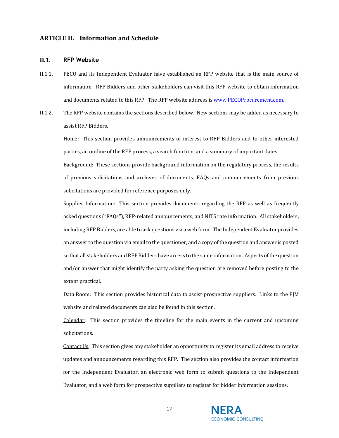# <span id="page-16-0"></span>**ARTICLE II. Information and Schedule**

#### <span id="page-16-1"></span>**II.1. RFP Website**

- II.1.1. PECO and its Independent Evaluator have established an RFP website that is the main source of information. RFP Bidders and other stakeholders can visit this RFP website to obtain information and documents related to this RFP. The RFP website address i[s www.PECOProcurement.com.](http://www.pecoprocurement.com/)
- II.1.2. The RFP website contains the sections described below. New sections may be added as necessary to assist RFP Bidders.

Home: This section provides announcements of interest to RFP Bidders and to other interested parties, an outline of the RFP process, a search function, and a summary of important dates.

Background: These sections provide background information on the regulatory process, the results of previous solicitations and archives of documents. FAQs and announcements from previous solicitations are provided for reference purposes only.

Supplier Information: This section provides documents regarding the RFP as well as frequently asked questions ("FAQs"), RFP-related announcements, and NITS rate information. All stakeholders, including RFP Bidders, are able to ask questions via a web form. The Independent Evaluator provides an answer to the question via email to the questioner, and a copy of the question and answer is posted so that all stakeholders and RFP Bidders have access to the same information. Aspects of the question and/or answer that might identify the party asking the question are removed before posting to the extent practical.

Data Room: This section provides historical data to assist prospective suppliers. Links to the PJM website and related documents can also be found in this section.

Calendar: This section provides the timeline for the main events in the current and upcoming solicitations.

Contact Us: This section gives any stakeholder an opportunity to register its email address to receive updates and announcements regarding this RFP. The section also provides the contact information for the Independent Evaluator, an electronic web form to submit questions to the Independent Evaluator, and a web form for prospective suppliers to register for bidder information sessions.

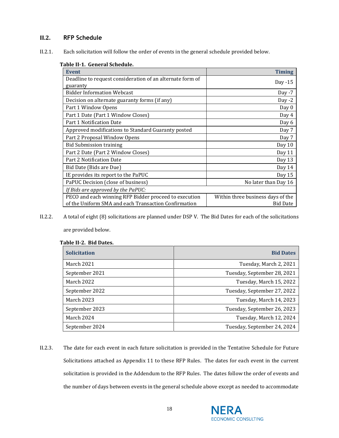# <span id="page-17-0"></span>**II.2. RFP Schedule**

<span id="page-17-1"></span>II.2.1. Each solicitation will follow the order of events in the general schedule provided below.

#### **Table II-1. General Schedule.**

| <b>Event</b>                                              | <b>Timing</b>                     |
|-----------------------------------------------------------|-----------------------------------|
| Deadline to request consideration of an alternate form of | Day $-15$                         |
| guaranty                                                  |                                   |
| <b>Bidder Information Webcast</b>                         | Day $-7$                          |
| Decision on alternate guaranty forms (if any)             | Day $-2$                          |
| Part 1 Window Opens                                       | Day 0                             |
| Part 1 Date (Part 1 Window Closes)                        | Day 4                             |
| Part 1 Notification Date                                  | Day 6                             |
| Approved modifications to Standard Guaranty posted        | Day 7                             |
| Part 2 Proposal Window Opens                              | Day 7                             |
| <b>Bid Submission training</b>                            | Day 10                            |
| Part 2 Date (Part 2 Window Closes)                        | Day 11                            |
| Part 2 Notification Date                                  | Day 13                            |
| Bid Date (Bids are Due)                                   | Day 14                            |
| IE provides its report to the PaPUC                       | Day 15                            |
| PaPUC Decision (close of business)                        | No later than Day 16              |
| If Bids are approved by the PaPUC:                        |                                   |
| PECO and each winning RFP Bidder proceed to execution     | Within three business days of the |
| of the Uniform SMA and each Transaction Confirmation      | <b>Bid Date</b>                   |

II.2.2. A total of eight (8) solicitations are planned under DSP V. The Bid Dates for each of the solicitations

are provided below.

| <b>Solicitation</b> | <b>Bid Dates</b>            |
|---------------------|-----------------------------|
| March 2021          | Tuesday, March 2, 2021      |
| September 2021      | Tuesday, September 28, 2021 |
| March 2022          | Tuesday, March 15, 2022     |
| September 2022      | Tuesday, September 27, 2022 |
| March 2023          | Tuesday, March 14, 2023     |
| September 2023      | Tuesday, September 26, 2023 |
| March 2024          | Tuesday, March 12, 2024     |
| September 2024      | Tuesday, September 24, 2024 |

# **Table II-2. Bid Dates.**

II.2.3. The date for each event in each future solicitation is provided in the Tentative Schedule for Future Solicitations attached as Appendix 11 to these RFP Rules. The dates for each event in the current solicitation is provided in the Addendum to the RFP Rules. The dates follow the order of events and the number of days between events in the general schedule above except as needed to accommodate

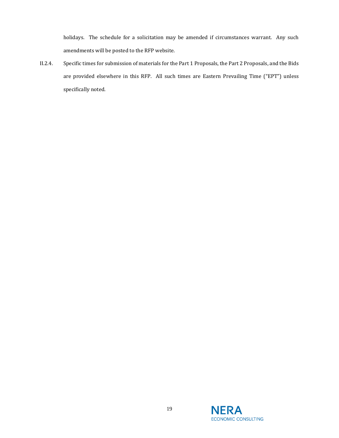holidays. The schedule for a solicitation may be amended if circumstances warrant. Any such amendments will be posted to the RFP website.

II.2.4. Specific times for submission of materials for the Part 1 Proposals, the Part 2 Proposals, and the Bids are provided elsewhere in this RFP. All such times are Eastern Prevailing Time ("EPT") unless specifically noted.

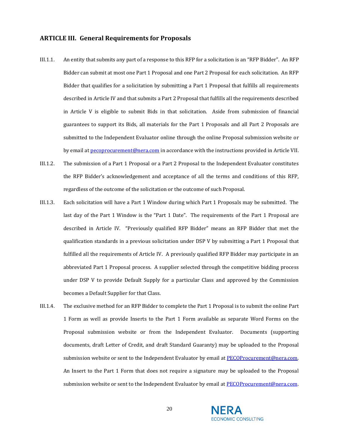# <span id="page-19-0"></span>**ARTICLE III. General Requirements for Proposals**

- III.1.1. An entity that submits any part of a response to this RFP for a solicitation is an "RFP Bidder". An RFP Bidder can submit at most one Part 1 Proposal and one Part 2 Proposal for each solicitation. An RFP Bidder that qualifies for a solicitation by submitting a Part 1 Proposal that fulfills all requirements described i[n Article IV](#page-24-0) and that submits a Part 2 Proposal that fulfills all the requirements described in [Article V](#page-43-0) is eligible to submit Bids in that solicitation. Aside from submission of financial guarantees to support its Bids, all materials for the Part 1 Proposals and all Part 2 Proposals are submitted to the Independent Evaluator online through the online Proposal submission website or by email at [pecoprocurement@nera.com](mailto:pecoprocurement@nera.com) in accordance with the instructions provided i[n Article VII](#page-56-0).
- III.1.2. The submission of a Part 1 Proposal or a Part 2 Proposal to the Independent Evaluator constitutes the RFP Bidder's acknowledgement and acceptance of all the terms and conditions of this RFP, regardless of the outcome of the solicitation or the outcome of such Proposal.
- III.1.3. Each solicitation will have a Part 1 Window during which Part 1 Proposals may be submitted. The last day of the Part 1 Window is the "Part 1 Date". The requirements of the Part 1 Proposal are described in [Article IV.](#page-24-0) "Previously qualified RFP Bidder" means an RFP Bidder that met the qualification standards in a previous solicitation under DSP V by submitting a Part 1 Proposal that fulfilled all the requirements of [Article IV.](#page-24-0) A previously qualified RFP Bidder may participate in an abbreviated Part 1 Proposal process. A supplier selected through the competitive bidding process under DSP V to provide Default Supply for a particular Class and approved by the Commission becomes a Default Supplier for that Class.
- III.1.4. The exclusive method for an RFP Bidder to complete the Part 1 Proposal is to submit the online Part 1 Form as well as provide Inserts to the Part 1 Form available as separate Word Forms on the Proposal submission website or from the Independent Evaluator. Documents (supporting documents, draft Letter of Credit, and draft Standard Guaranty) may be uploaded to the Proposal submission website or sent to the Independent Evaluator by email a[t PECOProcurement@nera.com.](mailto:PECOProcurement@nera.com) An Insert to the Part 1 Form that does not require a signature may be uploaded to the Proposal submission website or sent to the Independent Evaluator by email at [PECOProcurement@nera.com](mailto:PECOProcurement@nera.com).

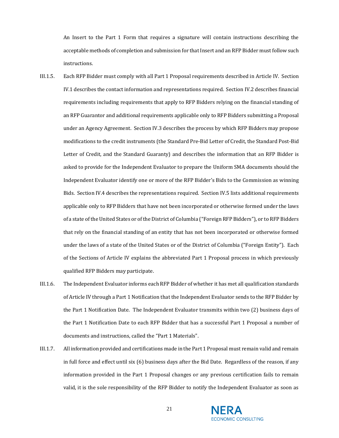An Insert to the Part 1 Form that requires a signature will contain instructions describing the acceptable methods of completion and submission for that Insert and an RFP Bidder must follow such instructions.

- III.1.5. Each RFP Bidder must comply with all Part 1 Proposal requirements described in [Article IV.](#page-24-0) Section [IV.1](#page-24-1) describes the contact information and representations required. Section [IV.2](#page-26-0) describes financial requirements including requirements that apply to RFP Bidders relying on the financial standing of an RFP Guarantor and additional requirements applicable only to RFP Bidders submitting a Proposal under an Agency Agreement. Section IV.3 describes the process by which RFP Bidders may propose modifications to the credit instruments (the Standard Pre-Bid Letter of Credit, the Standard Post-Bid Letter of Credit, and the Standard Guaranty) and describes the information that an RFP Bidder is asked to provide for the Independent Evaluator to prepare the Uniform SMA documents should the Independent Evaluator identify one or more of the RFP Bidder's Bids to the Commission as winning Bids. Section [IV.4](#page-34-0) describes the representations required. Sectio[n IV.5](#page-37-0) lists additional requirements applicable only to RFP Bidders that have not been incorporated or otherwise formed under the laws of a state of the United States or of the District of Columbia ("Foreign RFP Bidders"), or to RFP Bidders that rely on the financial standing of an entity that has not been incorporated or otherwise formed under the laws of a state of the United States or of the District of Columbia ("Foreign Entity"). Each of the Sections of [Article IV](#page-24-0) explains the abbreviated Part 1 Proposal process in which previously qualified RFP Bidders may participate.
- III.1.6. The Independent Evaluator informs each RFP Bidder of whether it has met all qualification standards of [Article IV](#page-24-0) through a Part 1 Notification that the Independent Evaluator sends to the RFP Bidder by the Part 1 Notification Date. The Independent Evaluator transmits within two (2) business days of the Part 1 Notification Date to each RFP Bidder that has a successful Part 1 Proposal a number of documents and instructions, called the "Part 1 Materials".
- III.1.7. All information provided and certifications made in the Part 1 Proposal must remain valid and remain in full force and effect until six (6) business days after the Bid Date. Regardless of the reason, if any information provided in the Part 1 Proposal changes or any previous certification fails to remain valid, it is the sole responsibility of the RFP Bidder to notify the Independent Evaluator as soon as



21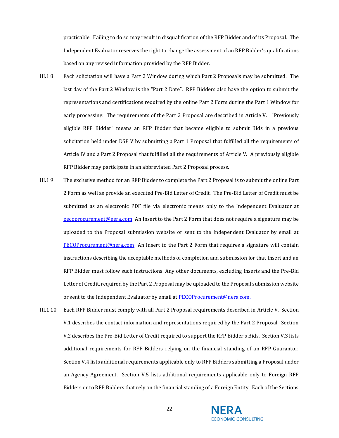practicable. Failing to do so may result in disqualification of the RFP Bidder and of its Proposal. The Independent Evaluator reserves the right to change the assessment of an RFP Bidder's qualifications based on any revised information provided by the RFP Bidder.

- III.1.8. Each solicitation will have a Part 2 Window during which Part 2 Proposals may be submitted. The last day of the Part 2 Window is the "Part 2 Date". RFP Bidders also have the option to submit the representations and certifications required by the online Part 2 Form during the Part 1 Window for early processing. The requirements of the Part 2 Proposal are described in [Article V.](#page-43-0) "Previously eligible RFP Bidder" means an RFP Bidder that became eligible to submit Bids in a previous solicitation held under DSP V by submitting a Part 1 Proposal that fulfilled all the requirements of [Article IV](#page-24-0) and a Part 2 Proposal that fulfilled all the requirements of [Article V.](#page-43-0) A previously eligible RFP Bidder may participate in an abbreviated Part 2 Proposal process.
- III.1.9. The exclusive method for an RFP Bidder to complete the Part 2 Proposal is to submit the online Part 2 Form as well as provide an executed Pre-Bid Letter of Credit. The Pre-Bid Letter of Credit must be submitted as an electronic PDF file via electronic means only to the Independent Evaluator at [pecoprocurement@nera.com.](mailto:pecoprocurement@nera.com) An Insert to the Part 2 Form that does not require a signature may be uploaded to the Proposal submission website or sent to the Independent Evaluator by email at [PECOProcurement@nera.com](mailto:PECOProcurement@nera.com). An Insert to the Part 2 Form that requires a signature will contain instructions describing the acceptable methods of completion and submission for that Insert and an RFP Bidder must follow such instructions. Any other documents, excluding Inserts and the Pre-Bid Letter of Credit, required by the Part 2 Proposal may be uploaded to the Proposal submission website or sent to the Independent Evaluator by email at **PECOProcurement@nera.com**.
- III.1.10. Each RFP Bidder must comply with all Part 2 Proposal requirements described in [Article V.](#page-43-0) Section [V.1](#page-43-1) describes the contact information and representations required by the Part 2 Proposal. Section [V.2](#page-45-0) describes the Pre-Bid Letter of Credit required to support the RFP Bidder's Bids. Section [V.3](#page-47-0) lists additional requirements for RFP Bidders relying on the financial standing of an RFP Guarantor. Section [V.4](#page-49-0) lists additional requirements applicable only to RFP Bidders submitting a Proposal under an Agency Agreement. Section [V.5](#page-50-0) lists additional requirements applicable only to Foreign RFP Bidders or to RFP Bidders that rely on the financial standing of a Foreign Entity. Each of the Sections

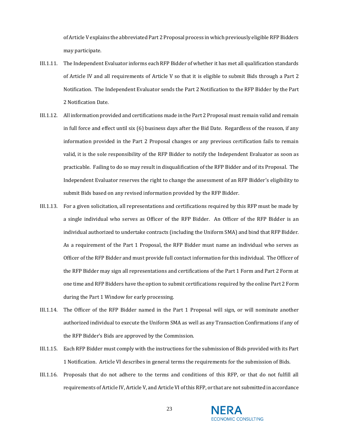o[f Article V](#page-43-0) explains the abbreviated Part 2 Proposal process in which previously eligible RFP Bidders may participate.

- III.1.11. The Independent Evaluator informs each RFP Bidder of whether it has met all qualification standards of [Article IV](#page-24-0) and all requirements of [Article V](#page-43-0) so that it is eligible to submit Bids through a Part 2 Notification. The Independent Evaluator sends the Part 2 Notification to the RFP Bidder by the Part 2 Notification Date.
- III.1.12. All information provided and certifications made in the Part 2 Proposal must remain valid and remain in full force and effect until six (6) business days after the Bid Date. Regardless of the reason, if any information provided in the Part 2 Proposal changes or any previous certification fails to remain valid, it is the sole responsibility of the RFP Bidder to notify the Independent Evaluator as soon as practicable. Failing to do so may result in disqualification of the RFP Bidder and of its Proposal. The Independent Evaluator reserves the right to change the assessment of an RFP Bidder's eligibility to submit Bids based on any revised information provided by the RFP Bidder.
- III.1.13. For a given solicitation, all representations and certifications required by this RFP must be made by a single individual who serves as Officer of the RFP Bidder. An Officer of the RFP Bidder is an individual authorized to undertake contracts (including the Uniform SMA) and bind that RFP Bidder. As a requirement of the Part 1 Proposal, the RFP Bidder must name an individual who serves as Officer of the RFP Bidder and must provide full contact information for this individual. The Officer of the RFP Bidder may sign all representations and certifications of the Part 1 Form and Part 2 Form at one time and RFP Bidders have the option to submit certifications required by the online Part 2 Form during the Part 1 Window for early processing.
- III.1.14. The Officer of the RFP Bidder named in the Part 1 Proposal will sign, or will nominate another authorized individual to execute the Uniform SMA as well as any Transaction Confirmations if any of the RFP Bidder's Bids are approved by the Commission.
- III.1.15. Each RFP Bidder must comply with the instructions for the submission of Bids provided with its Part 1 Notification. [Article VI](#page-54-0) describes in general terms the requirements for the submission of Bids.
- III.1.16. Proposals that do not adhere to the terms and conditions of this RFP, or that do not fulfill all requirements o[f Article IV,](#page-24-0) [Article V,](#page-43-0) an[d Article VI](#page-54-0) of this RFP, or that are not submitted in accordance



23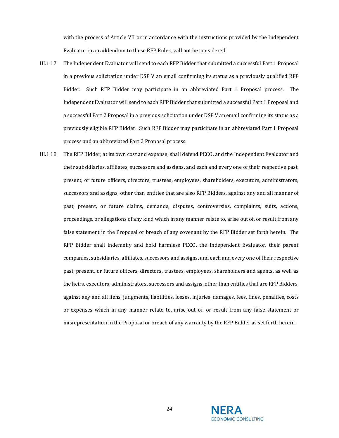with the process of [Article VII](#page-56-0) or in accordance with the instructions provided by the Independent Evaluator in an addendum to these RFP Rules, will not be considered.

- III.1.17. The Independent Evaluator will send to each RFP Bidder that submitted a successful Part 1 Proposal in a previous solicitation under DSP V an email confirming its status as a previously qualified RFP Bidder. Such RFP Bidder may participate in an abbreviated Part 1 Proposal process. The Independent Evaluator will send to each RFP Bidder that submitted a successful Part 1 Proposal and a successful Part 2 Proposal in a previous solicitation under DSP V an email confirming its status as a previously eligible RFP Bidder. Such RFP Bidder may participate in an abbreviated Part 1 Proposal process and an abbreviated Part 2 Proposal process.
- III.1.18. The RFP Bidder, at its own cost and expense, shall defend PECO, and the Independent Evaluator and their subsidiaries, affiliates, successors and assigns, and each and every one of their respective past, present, or future officers, directors, trustees, employees, shareholders, executors, administrators, successors and assigns, other than entities that are also RFP Bidders, against any and all manner of past, present, or future claims, demands, disputes, controversies, complaints, suits, actions, proceedings, or allegations of any kind which in any manner relate to, arise out of, or result from any false statement in the Proposal or breach of any covenant by the RFP Bidder set forth herein. The RFP Bidder shall indemnify and hold harmless PECO, the Independent Evaluator, their parent companies, subsidiaries, affiliates, successors and assigns, and each and every one of their respective past, present, or future officers, directors, trustees, employees, shareholders and agents, as well as the heirs, executors, administrators, successors and assigns, other than entities that are RFP Bidders, against any and all liens, judgments, liabilities, losses, injuries, damages, fees, fines, penalties, costs or expenses which in any manner relate to, arise out of, or result from any false statement or misrepresentation in the Proposal or breach of any warranty by the RFP Bidder as set forth herein.

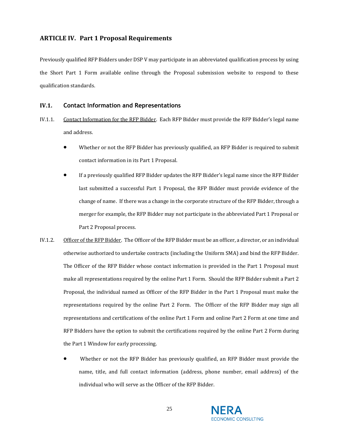# <span id="page-24-0"></span>**ARTICLE IV. Part 1 Proposal Requirements**

Previously qualified RFP Bidders under DSP V may participate in an abbreviated qualification process by using the Short Part 1 Form available online through the Proposal submission website to respond to these qualification standards.

#### <span id="page-24-1"></span>**IV.1. Contact Information and Representations**

- IV.1.1. Contact Information for the RFP Bidder. Each RFP Bidder must provide the RFP Bidder's legal name and address.
	- Whether or not the RFP Bidder has previously qualified, an RFP Bidder is required to submit contact information in its Part 1 Proposal.
	- If a previously qualified RFP Bidder updates the RFP Bidder's legal name since the RFP Bidder last submitted a successful Part 1 Proposal, the RFP Bidder must provide evidence of the change of name. If there was a change in the corporate structure of the RFP Bidder, through a merger for example, the RFP Bidder may not participate in the abbreviated Part 1 Proposal or Part 2 Proposal process.
- IV.1.2. Officer of the RFP Bidder. The Officer of the RFP Bidder must be an officer, a director, or an individual otherwise authorized to undertake contracts (including the Uniform SMA) and bind the RFP Bidder. The Officer of the RFP Bidder whose contact information is provided in the Part 1 Proposal must make all representations required by the online Part 1 Form. Should the RFP Bidder submit a Part 2 Proposal, the individual named as Officer of the RFP Bidder in the Part 1 Proposal must make the representations required by the online Part 2 Form. The Officer of the RFP Bidder may sign all representations and certifications of the online Part 1 Form and online Part 2 Form at one time and RFP Bidders have the option to submit the certifications required by the online Part 2 Form during the Part 1 Window for early processing.
	- Whether or not the RFP Bidder has previously qualified, an RFP Bidder must provide the name, title, and full contact information (address, phone number, email address) of the individual who will serve as the Officer of the RFP Bidder.

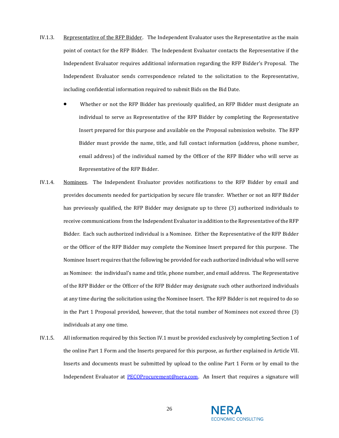- IV.1.3. Representative of the RFP Bidder. The Independent Evaluator uses the Representative as the main point of contact for the RFP Bidder. The Independent Evaluator contacts the Representative if the Independent Evaluator requires additional information regarding the RFP Bidder's Proposal. The Independent Evaluator sends correspondence related to the solicitation to the Representative, including confidential information required to submit Bids on the Bid Date.
	- Whether or not the RFP Bidder has previously qualified, an RFP Bidder must designate an individual to serve as Representative of the RFP Bidder by completing the Representative Insert prepared for this purpose and available on the Proposal submission website. The RFP Bidder must provide the name, title, and full contact information (address, phone number, email address) of the individual named by the Officer of the RFP Bidder who will serve as Representative of the RFP Bidder.
- IV.1.4. Nominees. The Independent Evaluator provides notifications to the RFP Bidder by email and provides documents needed for participation by secure file transfer. Whether or not an RFP Bidder has previously qualified, the RFP Bidder may designate up to three (3) authorized individuals to receive communications from the Independent Evaluator in addition to the Representative of the RFP Bidder. Each such authorized individual is a Nominee. Either the Representative of the RFP Bidder or the Officer of the RFP Bidder may complete the Nominee Insert prepared for this purpose. The Nominee Insert requires that the following be provided for each authorized individual who will serve as Nominee: the individual's name and title, phone number, and email address. The Representative of the RFP Bidder or the Officer of the RFP Bidder may designate such other authorized individuals at any time during the solicitation using the Nominee Insert. The RFP Bidder is not required to do so in the Part 1 Proposal provided, however, that the total number of Nominees not exceed three (3) individuals at any one time.
- IV.1.5. All information required by this Sectio[n IV.1](#page-24-1) must be provided exclusively by completing Section 1 of the online Part 1 Form and the Inserts prepared for this purpose, as further explained in [Article VII.](#page-56-0) Inserts and documents must be submitted by upload to the online Part 1 Form or by email to the Independent Evaluator at [PECOProcurement@nera.com.](mailto:PECOProcurement@nera.com) An Insert that requires a signature will



26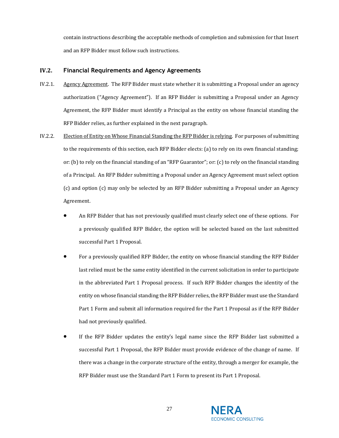contain instructions describing the acceptable methods of completion and submission for that Insert and an RFP Bidder must follow such instructions.

# <span id="page-26-0"></span>**IV.2. Financial Requirements and Agency Agreements**

- IV.2.1. Agency Agreement. The RFP Bidder must state whether it is submitting a Proposal under an agency authorization ("Agency Agreement"). If an RFP Bidder is submitting a Proposal under an Agency Agreement, the RFP Bidder must identify a Principal as the entity on whose financial standing the RFP Bidder relies, as further explained in the next paragraph.
- IV.2.2. Election of Entity on Whose Financial Standing the RFP Bidder is relying. For purposes of submitting to the requirements of this section, each RFP Bidder elects: (a) to rely on its own financial standing; or: (b) to rely on the financial standing of an "RFP Guarantor"; or: (c) to rely on the financial standing of a Principal. An RFP Bidder submitting a Proposal under an Agency Agreement must select option (c) and option (c) may only be selected by an RFP Bidder submitting a Proposal under an Agency Agreement.
	- An RFP Bidder that has not previously qualified must clearly select one of these options. For a previously qualified RFP Bidder, the option will be selected based on the last submitted successful Part 1 Proposal.
	- For a previously qualified RFP Bidder, the entity on whose financial standing the RFP Bidder last relied must be the same entity identified in the current solicitation in order to participate in the abbreviated Part 1 Proposal process. If such RFP Bidder changes the identity of the entity on whose financial standing the RFP Bidder relies, the RFP Bidder must use the Standard Part 1 Form and submit all information required for the Part 1 Proposal as if the RFP Bidder had not previously qualified.
	- If the RFP Bidder updates the entity's legal name since the RFP Bidder last submitted a successful Part 1 Proposal, the RFP Bidder must provide evidence of the change of name. If there was a change in the corporate structure of the entity, through a merger for example, the RFP Bidder must use the Standard Part 1 Form to present its Part 1 Proposal.

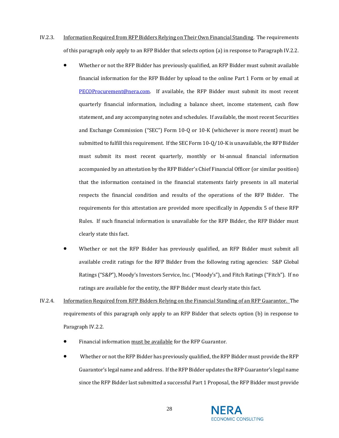- IV.2.3. Information Required from RFP Bidders Relying on Their Own Financial Standing. The requirements of this paragraph only apply to an RFP Bidder that selects option (a) in response to Paragraph IV.2.2.
	- Whether or not the RFP Bidder has previously qualified, an RFP Bidder must submit available financial information for the RFP Bidder by upload to the online Part 1 Form or by email at [PECOProcurement@nera.com.](mailto:PECOProcurement@nera.com) If available, the RFP Bidder must submit its most recent quarterly financial information, including a balance sheet, income statement, cash flow statement, and any accompanying notes and schedules. If available, the most recent Securities and Exchange Commission ("SEC") Form 10-Q or 10-K (whichever is more recent) must be submitted to fulfill this requirement. If the SEC Form 10-Q/10-K is unavailable, the RFP Bidder must submit its most recent quarterly, monthly or bi-annual financial information accompanied by an attestation by the RFP Bidder's Chief Financial Officer (or similar position) that the information contained in the financial statements fairly presents in all material respects the financial condition and results of the operations of the RFP Bidder. The requirements for this attestation are provided more specifically in Appendix 5 of these RFP Rules. If such financial information is unavailable for the RFP Bidder, the RFP Bidder must clearly state this fact.
	- Whether or not the RFP Bidder has previously qualified, an RFP Bidder must submit all available credit ratings for the RFP Bidder from the following rating agencies: S&P Global Ratings ("S&P"), Moody's Investors Service, Inc. ("Moody's"), and Fitch Ratings ("Fitch"). If no ratings are available for the entity, the RFP Bidder must clearly state this fact.
- IV.2.4. Information Required from RFP Bidders Relying on the Financial Standing of an RFP Guarantor. The requirements of this paragraph only apply to an RFP Bidder that selects option (b) in response to Paragraph IV.2.2.
	- Financial information must be available for the RFP Guarantor.
	- Whether or not the RFP Bidder has previously qualified, the RFP Bidder must provide the RFP Guarantor's legal name and address. If the RFP Bidder updates the RFP Guarantor's legal name since the RFP Bidder last submitted a successful Part 1 Proposal, the RFP Bidder must provide

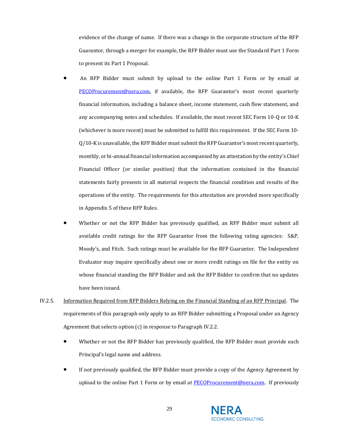evidence of the change of name. If there was a change in the corporate structure of the RFP Guarantor, through a merger for example, the RFP Bidder must use the Standard Part 1 Form to present its Part 1 Proposal.

- An RFP Bidder must submit by upload to the online Part 1 Form or by email at [PECOProcurement@nera.com,](mailto:PECOProcurement@nera.com) if available, the RFP Guarantor's most recent quarterly financial information, including a balance sheet, income statement, cash flow statement, and any accompanying notes and schedules. If available, the most recent SEC Form 10-Q or 10-K (whichever is more recent) must be submitted to fulfill this requirement. If the SEC Form 10- Q/10-K is unavailable, the RFP Bidder must submit the RFP Guarantor's most recent quarterly, monthly, or bi-annual financial information accompanied by an attestation by the entity's Chief Financial Officer (or similar position) that the information contained in the financial statements fairly presents in all material respects the financial condition and results of the operations of the entity. The requirements for this attestation are provided more specifically in Appendix 5 of these RFP Rules.
- Whether or not the RFP Bidder has previously qualified, an RFP Bidder must submit all available credit ratings for the RFP Guarantor from the following rating agencies: S&P, Moody's, and Fitch. Such ratings must be available for the RFP Guarantor. The Independent Evaluator may inquire specifically about one or more credit ratings on file for the entity on whose financial standing the RFP Bidder and ask the RFP Bidder to confirm that no updates have been issued.
- IV.2.5. Information Required from RFP Bidders Relying on the Financial Standing of an RFP Principal. The requirements of this paragraph only apply to an RFP Bidder submitting a Proposal under an Agency Agreement that selects option (c) in response to Paragraph IV.2.2.
	- Whether or not the RFP Bidder has previously qualified, the RFP Bidder must provide each Principal's legal name and address.
	- If not previously qualified, the RFP Bidder must provide a copy of the Agency Agreement by upload to the online Part 1 Form or by email at [PECOProcurement@nera.com.](mailto:PECOProcurement@nera.com) If previously

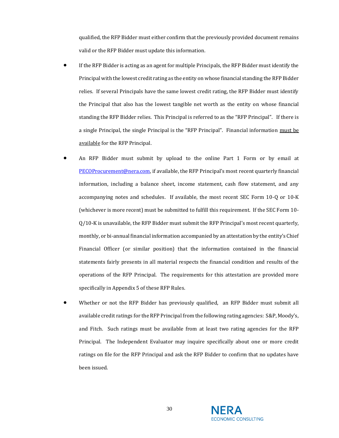qualified, the RFP Bidder must either confirm that the previously provided document remains valid or the RFP Bidder must update this information.

- If the RFP Bidder is acting as an agent for multiple Principals, the RFP Bidder must identify the Principal with the lowest credit rating as the entity on whose financial standing the RFP Bidder relies. If several Principals have the same lowest credit rating, the RFP Bidder must identify the Principal that also has the lowest tangible net worth as the entity on whose financial standing the RFP Bidder relies. This Principal is referred to as the "RFP Principal". If there is a single Principal, the single Principal is the "RFP Principal". Financial information must be available for the RFP Principal.
- An RFP Bidder must submit by upload to the online Part 1 Form or by email at [PECOProcurement@nera.com](mailto:PECOProcurement@nera.com), if available, the RFP Principal's most recent quarterly financial information, including a balance sheet, income statement, cash flow statement, and any accompanying notes and schedules. If available, the most recent SEC Form 10-Q or 10-K (whichever is more recent) must be submitted to fulfill this requirement. If the SEC Form 10- Q/10-K is unavailable, the RFP Bidder must submit the RFP Principal's most recent quarterly, monthly, or bi-annual financial information accompanied by an attestation by the entity's Chief Financial Officer (or similar position) that the information contained in the financial statements fairly presents in all material respects the financial condition and results of the operations of the RFP Principal. The requirements for this attestation are provided more specifically in Appendix 5 of these RFP Rules.
- Whether or not the RFP Bidder has previously qualified, an RFP Bidder must submit all available credit ratings for the RFP Principal from the following rating agencies: S&P, Moody's, and Fitch. Such ratings must be available from at least two rating agencies for the RFP Principal. The Independent Evaluator may inquire specifically about one or more credit ratings on file for the RFP Principal and ask the RFP Bidder to confirm that no updates have been issued.

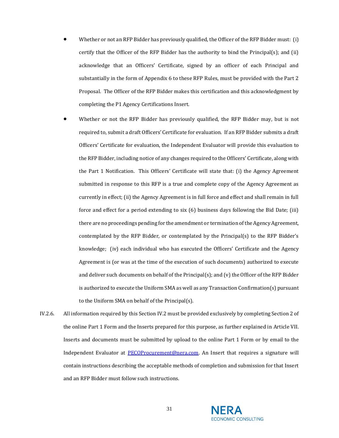- Whether or not an RFP Bidder has previously qualified, the Officer of the RFP Bidder must: (i) certify that the Officer of the RFP Bidder has the authority to bind the Principal(s); and (ii) acknowledge that an Officers' Certificate, signed by an officer of each Principal and substantially in the form of Appendix 6 to these RFP Rules, must be provided with the Part 2 Proposal. The Officer of the RFP Bidder makes this certification and this acknowledgment by completing the P1 Agency Certifications Insert.
- Whether or not the RFP Bidder has previously qualified, the RFP Bidder may, but is not required to, submit a draft Officers' Certificate for evaluation. If an RFP Bidder submits a draft Officers' Certificate for evaluation, the Independent Evaluator will provide this evaluation to the RFP Bidder, including notice of any changes required to the Officers' Certificate, along with the Part 1 Notification. This Officers' Certificate will state that: (i) the Agency Agreement submitted in response to this RFP is a true and complete copy of the Agency Agreement as currently in effect; (ii) the Agency Agreement is in full force and effect and shall remain in full force and effect for a period extending to six (6) business days following the Bid Date; (iii) there are no proceedings pending for the amendment or termination of the Agency Agreement, contemplated by the RFP Bidder, or contemplated by the Principal(s) to the RFP Bidder's knowledge; (iv) each individual who has executed the Officers' Certificate and the Agency Agreement is (or was at the time of the execution of such documents) authorized to execute and deliver such documents on behalf of the Principal(s); and (v) the Officer of the RFP Bidder is authorized to execute the Uniform SMA as well as any Transaction Confirmation(s) pursuant to the Uniform SMA on behalf of the Principal(s).
- IV.2.6. All information required by this Sectio[n IV.2](#page-26-0) must be provided exclusively by completing Section 2 of the online Part 1 Form and the Inserts prepared for this purpose, as further explained in [Article VII](#page-56-0). Inserts and documents must be submitted by upload to the online Part 1 Form or by email to the Independent Evaluator at [PECOProcurement@nera.com.](mailto:PECOProcurement@nera.com) An Insert that requires a signature will contain instructions describing the acceptable methods of completion and submission for that Insert and an RFP Bidder must follow such instructions.

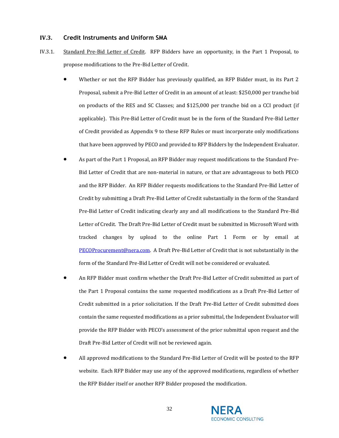# <span id="page-31-0"></span>**IV.3. Credit Instruments and Uniform SMA**

- IV.3.1. Standard Pre-Bid Letter of Credit. RFP Bidders have an opportunity, in the Part 1 Proposal, to propose modifications to the Pre-Bid Letter of Credit.
	- Whether or not the RFP Bidder has previously qualified, an RFP Bidder must, in its Part 2 Proposal, submit a Pre-Bid Letter of Credit in an amount of at least: \$250,000 per tranche bid on products of the RES and SC Classes; and \$125,000 per tranche bid on a CCI product (if applicable). This Pre-Bid Letter of Credit must be in the form of the Standard Pre-Bid Letter of Credit provided as Appendix 9 to these RFP Rules or must incorporate only modifications that have been approved by PECO and provided to RFP Bidders by the Independent Evaluator.
	- As part of the Part 1 Proposal, an RFP Bidder may request modifications to the Standard Pre-Bid Letter of Credit that are non-material in nature, or that are advantageous to both PECO and the RFP Bidder. An RFP Bidder requests modifications to the Standard Pre-Bid Letter of Credit by submitting a Draft Pre-Bid Letter of Credit substantially in the form of the Standard Pre-Bid Letter of Credit indicating clearly any and all modifications to the Standard Pre-Bid Letter of Credit. The Draft Pre-Bid Letter of Credit must be submitted in Microsoft Word with tracked changes by upload to the online Part 1 Form or by email at [PECOProcurement@nera.com.](mailto:PECOProcurement@nera.com) A Draft Pre-Bid Letter of Credit that is not substantially in the form of the Standard Pre-Bid Letter of Credit will not be considered or evaluated.
	- An RFP Bidder must confirm whether the Draft Pre-Bid Letter of Credit submitted as part of the Part 1 Proposal contains the same requested modifications as a Draft Pre-Bid Letter of Credit submitted in a prior solicitation. If the Draft Pre-Bid Letter of Credit submitted does contain the same requested modifications as a prior submittal, the Independent Evaluator will provide the RFP Bidder with PECO's assessment of the prior submittal upon request and the Draft Pre-Bid Letter of Credit will not be reviewed again.
	- All approved modifications to the Standard Pre-Bid Letter of Credit will be posted to the RFP website. Each RFP Bidder may use any of the approved modifications, regardless of whether the RFP Bidder itself or another RFP Bidder proposed the modification.

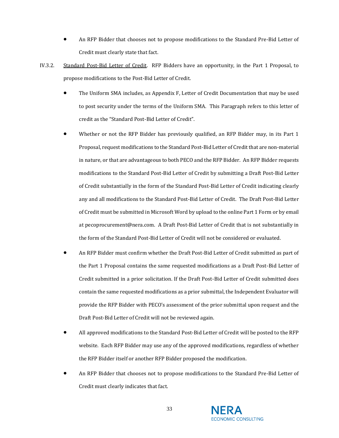- An RFP Bidder that chooses not to propose modifications to the Standard Pre-Bid Letter of Credit must clearly state that fact.
- IV.3.2. Standard Post-Bid Letter of Credit. RFP Bidders have an opportunity, in the Part 1 Proposal, to propose modifications to the Post-Bid Letter of Credit.
	- The Uniform SMA includes, as Appendix F, Letter of Credit Documentation that may be used to post security under the terms of the Uniform SMA. This Paragraph refers to this letter of credit as the "Standard Post-Bid Letter of Credit".
	- Whether or not the RFP Bidder has previously qualified, an RFP Bidder may, in its Part 1 Proposal, request modifications to the Standard Post-Bid Letter of Credit that are non-material in nature, or that are advantageous to both PECO and the RFP Bidder. An RFP Bidder requests modifications to the Standard Post-Bid Letter of Credit by submitting a Draft Post-Bid Letter of Credit substantially in the form of the Standard Post-Bid Letter of Credit indicating clearly any and all modifications to the Standard Post-Bid Letter of Credit. The Draft Post-Bid Letter of Credit must be submitted in Microsoft Word by upload to the online Part 1 Form or by email at pecoprocurement@nera.com. A Draft Post-Bid Letter of Credit that is not substantially in the form of the Standard Post-Bid Letter of Credit will not be considered or evaluated.
	- An RFP Bidder must confirm whether the Draft Post-Bid Letter of Credit submitted as part of the Part 1 Proposal contains the same requested modifications as a Draft Post-Bid Letter of Credit submitted in a prior solicitation. If the Draft Post-Bid Letter of Credit submitted does contain the same requested modifications as a prior submittal, the Independent Evaluator will provide the RFP Bidder with PECO's assessment of the prior submittal upon request and the Draft Post-Bid Letter of Credit will not be reviewed again.
	- All approved modifications to the Standard Post-Bid Letter of Credit will be posted to the RFP website. Each RFP Bidder may use any of the approved modifications, regardless of whether the RFP Bidder itself or another RFP Bidder proposed the modification.
	- An RFP Bidder that chooses not to propose modifications to the Standard Pre-Bid Letter of Credit must clearly indicates that fact.

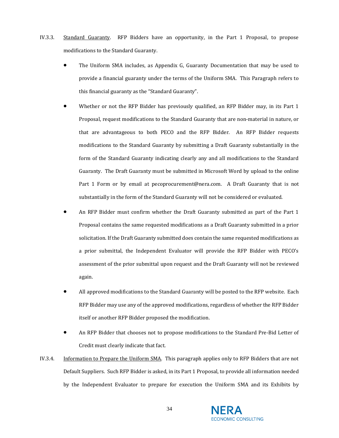- IV.3.3. Standard Guaranty. RFP Bidders have an opportunity, in the Part 1 Proposal, to propose modifications to the Standard Guaranty.
	- The Uniform SMA includes, as Appendix G, Guaranty Documentation that may be used to provide a financial guaranty under the terms of the Uniform SMA. This Paragraph refers to this financial guaranty as the "Standard Guaranty".
	- Whether or not the RFP Bidder has previously qualified, an RFP Bidder may, in its Part 1 Proposal, request modifications to the Standard Guaranty that are non-material in nature, or that are advantageous to both PECO and the RFP Bidder. An RFP Bidder requests modifications to the Standard Guaranty by submitting a Draft Guaranty substantially in the form of the Standard Guaranty indicating clearly any and all modifications to the Standard Guaranty. The Draft Guaranty must be submitted in Microsoft Word by upload to the online Part 1 Form or by email at pecoprocurement@nera.com. A Draft Guaranty that is not substantially in the form of the Standard Guaranty will not be considered or evaluated.
	- An RFP Bidder must confirm whether the Draft Guaranty submitted as part of the Part 1 Proposal contains the same requested modifications as a Draft Guaranty submitted in a prior solicitation. If the Draft Guaranty submitted does contain the same requested modifications as a prior submittal, the Independent Evaluator will provide the RFP Bidder with PECO's assessment of the prior submittal upon request and the Draft Guaranty will not be reviewed again.
	- All approved modifications to the Standard Guaranty will be posted to the RFP website. Each RFP Bidder may use any of the approved modifications, regardless of whether the RFP Bidder itself or another RFP Bidder proposed the modification.
	- An RFP Bidder that chooses not to propose modifications to the Standard Pre-Bid Letter of Credit must clearly indicate that fact.
- IV.3.4. Information to Prepare the Uniform SMA. This paragraph applies only to RFP Bidders that are not Default Suppliers. Such RFP Bidder is asked, in its Part 1 Proposal, to provide all information needed by the Independent Evaluator to prepare for execution the Uniform SMA and its Exhibits by

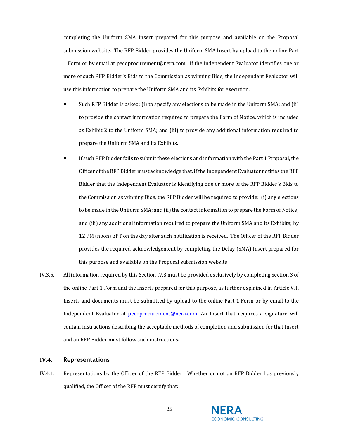completing the Uniform SMA Insert prepared for this purpose and available on the Proposal submission website. The RFP Bidder provides the Uniform SMA Insert by upload to the online Part 1 Form or by email at pecoprocurement@nera.com. If the Independent Evaluator identifies one or more of such RFP Bidder's Bids to the Commission as winning Bids, the Independent Evaluator will use this information to prepare the Uniform SMA and its Exhibits for execution.

- Such RFP Bidder is asked: (i) to specify any elections to be made in the Uniform SMA; and (ii) to provide the contact information required to prepare the Form of Notice, which is included as Exhibit 2 to the Uniform SMA; and (iii) to provide any additional information required to prepare the Uniform SMA and its Exhibits.
- If such RFP Bidder fails to submit these elections and information with the Part 1 Proposal, the Officer of the RFP Bidder must acknowledge that, if the Independent Evaluator notifies the RFP Bidder that the Independent Evaluator is identifying one or more of the RFP Bidder's Bids to the Commission as winning Bids, the RFP Bidder will be required to provide: (i) any elections to be made in the Uniform SMA; and (ii) the contact information to prepare the Form of Notice; and (iii) any additional information required to prepare the Uniform SMA and its Exhibits; by 12 PM (noon) EPT on the day after such notification is received. The Officer of the RFP Bidder provides the required acknowledgement by completing the Delay (SMA) Insert prepared for this purpose and available on the Proposal submission website.
- IV.3.5. All information required by this Sectio[n IV.3](#page-31-0) must be provided exclusively by completing Section 3 of the online Part 1 Form and the Inserts prepared for this purpose, as further explained in [Article VII](#page-56-0). Inserts and documents must be submitted by upload to the online Part 1 Form or by email to the Independent Evaluator at [pecoprocurement@nera.com.](mailto:pecoprocurement@nera.com) An Insert that requires a signature will contain instructions describing the acceptable methods of completion and submission for that Insert and an RFP Bidder must follow such instructions.

# <span id="page-34-0"></span>**IV.4. Representations**

IV.4.1. Representations by the Officer of the RFP Bidder. Whether or not an RFP Bidder has previously qualified, the Officer of the RFP must certify that:

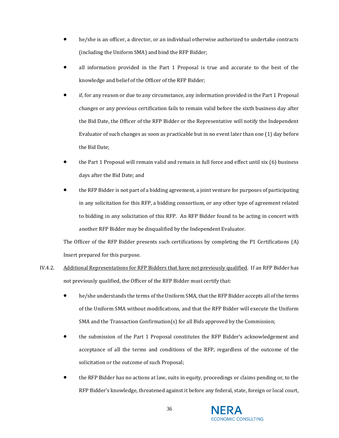- he/she is an officer, a director, or an individual otherwise authorized to undertake contracts (including the Uniform SMA) and bind the RFP Bidder;
- all information provided in the Part 1 Proposal is true and accurate to the best of the knowledge and belief of the Officer of the RFP Bidder;
- if, for any reason or due to any circumstance, any information provided in the Part 1 Proposal changes or any previous certification fails to remain valid before the sixth business day after the Bid Date, the Officer of the RFP Bidder or the Representative will notify the Independent Evaluator of such changes as soon as practicable but in no event later than one (1) day before the Bid Date;
- the Part 1 Proposal will remain valid and remain in full force and effect until six (6) business days after the Bid Date; and
- the RFP Bidder is not part of a bidding agreement, a joint venture for purposes of participating in any solicitation for this RFP, a bidding consortium, or any other type of agreement related to bidding in any solicitation of this RFP. An RFP Bidder found to be acting in concert with another RFP Bidder may be disqualified by the Independent Evaluator.

The Officer of the RFP Bidder presents such certifications by completing the P1 Certifications (A) Insert prepared for this purpose.

- IV.4.2. Additional Representations for RFP Bidders that have not previously qualified. If an RFP Bidder has not previously qualified, the Officer of the RFP Bidder must certify that:
	- he/she understands the terms of the Uniform SMA, that the RFP Bidder accepts all of the terms of the Uniform SMA without modifications, and that the RFP Bidder will execute the Uniform SMA and the Transaction Confirmation(s) for all Bids approved by the Commission;
	- the submission of the Part 1 Proposal constitutes the RFP Bidder's acknowledgement and acceptance of all the terms and conditions of the RFP, regardless of the outcome of the solicitation or the outcome of such Proposal;
	- the RFP Bidder has no actions at law, suits in equity, proceedings or claims pending or, to the RFP Bidder's knowledge, threatened against it before any federal, state, foreign or local court,

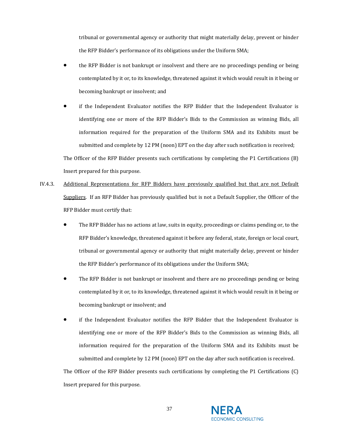tribunal or governmental agency or authority that might materially delay, prevent or hinder the RFP Bidder's performance of its obligations under the Uniform SMA;

- the RFP Bidder is not bankrupt or insolvent and there are no proceedings pending or being contemplated by it or, to its knowledge, threatened against it which would result in it being or becoming bankrupt or insolvent; and
- if the Independent Evaluator notifies the RFP Bidder that the Independent Evaluator is identifying one or more of the RFP Bidder's Bids to the Commission as winning Bids, all information required for the preparation of the Uniform SMA and its Exhibits must be submitted and complete by 12 PM (noon) EPT on the day after such notification is received;

The Officer of the RFP Bidder presents such certifications by completing the P1 Certifications (B) Insert prepared for this purpose.

- IV.4.3. Additional Representations for RFP Bidders have previously qualified but that are not Default Suppliers. If an RFP Bidder has previously qualified but is not a Default Supplier, the Officer of the RFP Bidder must certify that:
	- The RFP Bidder has no actions at law, suits in equity, proceedings or claims pending or, to the RFP Bidder's knowledge, threatened against it before any federal, state, foreign or local court, tribunal or governmental agency or authority that might materially delay, prevent or hinder the RFP Bidder's performance of its obligations under the Uniform SMA;
	- The RFP Bidder is not bankrupt or insolvent and there are no proceedings pending or being contemplated by it or, to its knowledge, threatened against it which would result in it being or becoming bankrupt or insolvent; and
	- if the Independent Evaluator notifies the RFP Bidder that the Independent Evaluator is identifying one or more of the RFP Bidder's Bids to the Commission as winning Bids, all information required for the preparation of the Uniform SMA and its Exhibits must be submitted and complete by 12 PM (noon) EPT on the day after such notification is received.

The Officer of the RFP Bidder presents such certifications by completing the P1 Certifications (C) Insert prepared for this purpose.

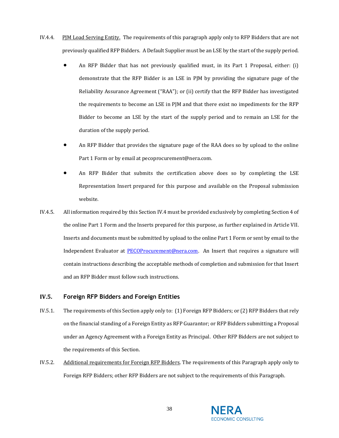- IV.4.4. PJM Load Serving Entity. The requirements of this paragraph apply only to RFP Bidders that are not previously qualified RFP Bidders. A Default Supplier must be an LSE by the start of the supply period.
	- An RFP Bidder that has not previously qualified must, in its Part 1 Proposal, either: (i) demonstrate that the RFP Bidder is an LSE in PJM by providing the signature page of the Reliability Assurance Agreement ("RAA"); or (ii) certify that the RFP Bidder has investigated the requirements to become an LSE in PJM and that there exist no impediments for the RFP Bidder to become an LSE by the start of the supply period and to remain an LSE for the duration of the supply period.
	- An RFP Bidder that provides the signature page of the RAA does so by upload to the online Part 1 Form or by email at pecoprocurement@nera.com.
	- An RFP Bidder that submits the certification above does so by completing the LSE Representation Insert prepared for this purpose and available on the Proposal submission website.
- IV.4.5. All information required by this Sectio[n IV.4](#page-34-0) must be provided exclusively by completing Section 4 of the online Part 1 Form and the Inserts prepared for this purpose, as further explained in [Article VII](#page-56-0). Inserts and documents must be submitted by upload to the online Part 1 Form or sent by email to the Independent Evaluator at **PECOProcurement@nera.com**. An Insert that requires a signature will contain instructions describing the acceptable methods of completion and submission for that Insert and an RFP Bidder must follow such instructions.

## <span id="page-37-0"></span>**IV.5. Foreign RFP Bidders and Foreign Entities**

- IV.5.1. The requirements of this Section apply only to: (1) Foreign RFP Bidders; or (2) RFP Bidders that rely on the financial standing of a Foreign Entity as RFP Guarantor; or RFP Bidders submitting a Proposal under an Agency Agreement with a Foreign Entity as Principal. Other RFP Bidders are not subject to the requirements of this Section.
- <span id="page-37-1"></span>IV.5.2. Additional requirements for Foreign RFP Bidders. The requirements of this Paragraph apply only to Foreign RFP Bidders; other RFP Bidders are not subject to the requirements of this Paragraph.

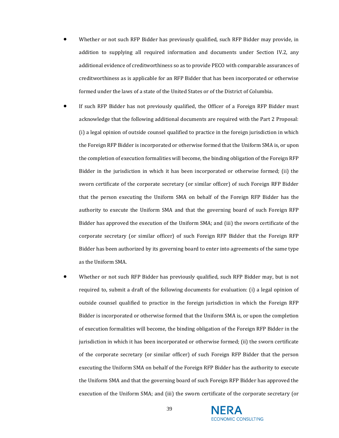- Whether or not such RFP Bidder has previously qualified, such RFP Bidder may provide, in addition to supplying all required information and documents under Section [IV.2,](#page-26-0) any additional evidence of creditworthiness so as to provide PECO with comparable assurances of creditworthiness as is applicable for an RFP Bidder that has been incorporated or otherwise formed under the laws of a state of the United States or of the District of Columbia.
- If such RFP Bidder has not previously qualified, the Officer of a Foreign RFP Bidder must acknowledge that the following additional documents are required with the Part 2 Proposal: (i) a legal opinion of outside counsel qualified to practice in the foreign jurisdiction in which the Foreign RFP Bidder is incorporated or otherwise formed that the Uniform SMA is, or upon the completion of execution formalities will become, the binding obligation of the Foreign RFP Bidder in the jurisdiction in which it has been incorporated or otherwise formed; (ii) the sworn certificate of the corporate secretary (or similar officer) of such Foreign RFP Bidder that the person executing the Uniform SMA on behalf of the Foreign RFP Bidder has the authority to execute the Uniform SMA and that the governing board of such Foreign RFP Bidder has approved the execution of the Uniform SMA; and (iii) the sworn certificate of the corporate secretary (or similar officer) of such Foreign RFP Bidder that the Foreign RFP Bidder has been authorized by its governing board to enter into agreements of the same type as the Uniform SMA.
- Whether or not such RFP Bidder has previously qualified, such RFP Bidder may, but is not required to, submit a draft of the following documents for evaluation: (i) a legal opinion of outside counsel qualified to practice in the foreign jurisdiction in which the Foreign RFP Bidder is incorporated or otherwise formed that the Uniform SMA is, or upon the completion of execution formalities will become, the binding obligation of the Foreign RFP Bidder in the jurisdiction in which it has been incorporated or otherwise formed; (ii) the sworn certificate of the corporate secretary (or similar officer) of such Foreign RFP Bidder that the person executing the Uniform SMA on behalf of the Foreign RFP Bidder has the authority to execute the Uniform SMA and that the governing board of such Foreign RFP Bidder has approved the execution of the Uniform SMA; and (iii) the sworn certificate of the corporate secretary (or

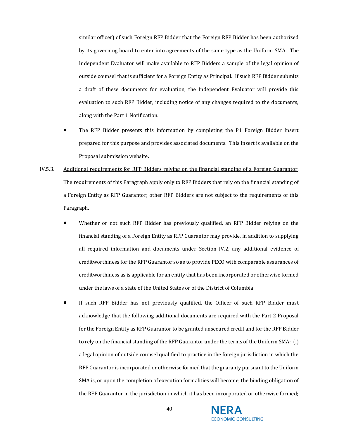similar officer) of such Foreign RFP Bidder that the Foreign RFP Bidder has been authorized by its governing board to enter into agreements of the same type as the Uniform SMA. The Independent Evaluator will make available to RFP Bidders a sample of the legal opinion of outside counsel that is sufficient for a Foreign Entity as Principal. If such RFP Bidder submits a draft of these documents for evaluation, the Independent Evaluator will provide this evaluation to such RFP Bidder, including notice of any changes required to the documents, along with the Part 1 Notification.

- The RFP Bidder presents this information by completing the P1 Foreign Bidder Insert prepared for this purpose and provides associated documents. This Insert is available on the Proposal submission website.
- <span id="page-39-0"></span>IV.5.3. Additional requirements for RFP Bidders relying on the financial standing of a Foreign Guarantor. The requirements of this Paragraph apply only to RFP Bidders that rely on the financial standing of a Foreign Entity as RFP Guarantor; other RFP Bidders are not subject to the requirements of this Paragraph.
	- Whether or not such RFP Bidder has previously qualified, an RFP Bidder relying on the financial standing of a Foreign Entity as RFP Guarantor may provide, in addition to supplying all required information and documents under Section IV.2, any additional evidence of creditworthiness for the RFP Guarantor so as to provide PECO with comparable assurances of creditworthiness as is applicable for an entity that has been incorporated or otherwise formed under the laws of a state of the United States or of the District of Columbia.
	- If such RFP Bidder has not previously qualified, the Officer of such RFP Bidder must acknowledge that the following additional documents are required with the Part 2 Proposal for the Foreign Entity as RFP Guarantor to be granted unsecured credit and for the RFP Bidder to rely on the financial standing of the RFP Guarantor under the terms of the Uniform SMA: (i) a legal opinion of outside counsel qualified to practice in the foreign jurisdiction in which the RFP Guarantor is incorporated or otherwise formed that the guaranty pursuant to the Uniform SMA is, or upon the completion of execution formalities will become, the binding obligation of the RFP Guarantor in the jurisdiction in which it has been incorporated or otherwise formed;

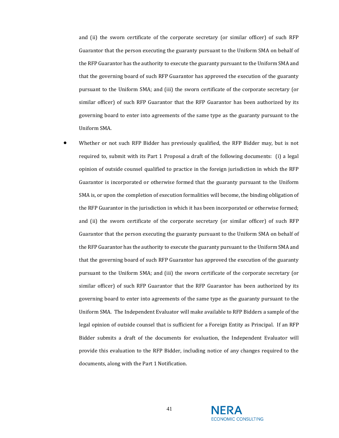and (ii) the sworn certificate of the corporate secretary (or similar officer) of such RFP Guarantor that the person executing the guaranty pursuant to the Uniform SMA on behalf of the RFP Guarantor has the authority to execute the guaranty pursuant to the Uniform SMA and that the governing board of such RFP Guarantor has approved the execution of the guaranty pursuant to the Uniform SMA; and (iii) the sworn certificate of the corporate secretary (or similar officer) of such RFP Guarantor that the RFP Guarantor has been authorized by its governing board to enter into agreements of the same type as the guaranty pursuant to the Uniform SMA.

• Whether or not such RFP Bidder has previously qualified, the RFP Bidder may, but is not required to, submit with its Part 1 Proposal a draft of the following documents: (i) a legal opinion of outside counsel qualified to practice in the foreign jurisdiction in which the RFP Guarantor is incorporated or otherwise formed that the guaranty pursuant to the Uniform SMA is, or upon the completion of execution formalities will become, the binding obligation of the RFP Guarantor in the jurisdiction in which it has been incorporated or otherwise formed; and (ii) the sworn certificate of the corporate secretary (or similar officer) of such RFP Guarantor that the person executing the guaranty pursuant to the Uniform SMA on behalf of the RFP Guarantor has the authority to execute the guaranty pursuant to the Uniform SMA and that the governing board of such RFP Guarantor has approved the execution of the guaranty pursuant to the Uniform SMA; and (iii) the sworn certificate of the corporate secretary (or similar officer) of such RFP Guarantor that the RFP Guarantor has been authorized by its governing board to enter into agreements of the same type as the guaranty pursuant to the Uniform SMA. The Independent Evaluator will make available to RFP Bidders a sample of the legal opinion of outside counsel that is sufficient for a Foreign Entity as Principal. If an RFP Bidder submits a draft of the documents for evaluation, the Independent Evaluator will provide this evaluation to the RFP Bidder, including notice of any changes required to the documents, along with the Part 1 Notification.

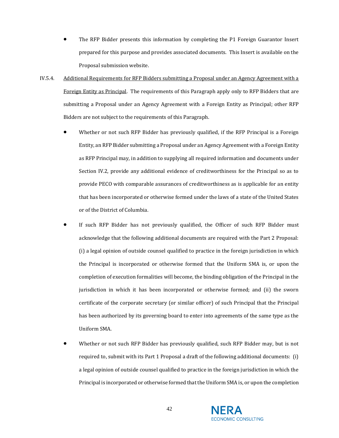- The RFP Bidder presents this information by completing the P1 Foreign Guarantor Insert prepared for this purpose and provides associated documents. This Insert is available on the Proposal submission website.
- <span id="page-41-0"></span>IV.5.4. Additional Requirements for RFP Bidders submitting a Proposal under an Agency Agreement with a Foreign Entity as Principal. The requirements of this Paragraph apply only to RFP Bidders that are submitting a Proposal under an Agency Agreement with a Foreign Entity as Principal; other RFP Bidders are not subject to the requirements of this Paragraph.
	- Whether or not such RFP Bidder has previously qualified, if the RFP Principal is a Foreign Entity, an RFP Bidder submitting a Proposal under an Agency Agreement with a Foreign Entity as RFP Principal may, in addition to supplying all required information and documents under Section IV.2, provide any additional evidence of creditworthiness for the Principal so as to provide PECO with comparable assurances of creditworthiness as is applicable for an entity that has been incorporated or otherwise formed under the laws of a state of the United States or of the District of Columbia.
	- If such RFP Bidder has not previously qualified, the Officer of such RFP Bidder must acknowledge that the following additional documents are required with the Part 2 Proposal: (i) a legal opinion of outside counsel qualified to practice in the foreign jurisdiction in which the Principal is incorporated or otherwise formed that the Uniform SMA is, or upon the completion of execution formalities will become, the binding obligation of the Principal in the jurisdiction in which it has been incorporated or otherwise formed; and (ii) the sworn certificate of the corporate secretary (or similar officer) of such Principal that the Principal has been authorized by its governing board to enter into agreements of the same type as the Uniform SMA.
	- Whether or not such RFP Bidder has previously qualified, such RFP Bidder may, but is not required to, submit with its Part 1 Proposal a draft of the following additional documents: (i) a legal opinion of outside counsel qualified to practice in the foreign jurisdiction in which the Principal is incorporated or otherwise formed that the Uniform SMA is, or upon the completion

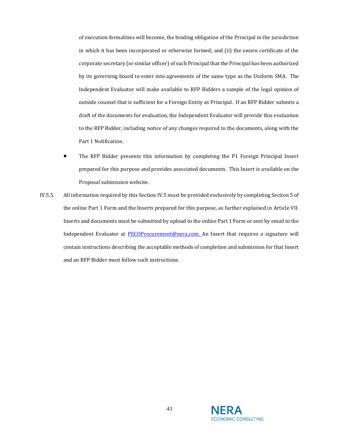of execution formalities will become, the binding obligation of the Principal in the jurisdiction in which it has been incorporated or otherwise formed; and (ii) the sworn certificate of the corporate secretary (or similar officer) of such Principal that the Principal has been authorized by its governing board to enter into agreements of the same type as the Uniform SMA. The Independent Evaluator will make available to RFP Bidders a sample of the legal opinion of outside counsel that is sufficient for a Foreign Entity as Principal. If an RFP Bidder submits a draft of the documents for evaluation, the Independent Evaluator will provide this evaluation to the RFP Bidder, including notice of any changes required to the documents, along with the Part 1 Notification.

- The RFP Bidder presents this information by completing the P1 Foreign Principal Insert prepared for this purpose and provides associated documents. This Insert is available on the Proposal submission website.
- IV.5.5. All information required by this Sectio[n IV.5](#page-37-0) must be provided exclusively by completing Section 5 of the online Part 1 Form and the Inserts prepared for this purpose, as further explained in [Article VII](#page-56-0). Inserts and documents must be submitted by upload to the online Part 1 Form or sent by email to the Independent Evaluator at **PECOProcurement@nera.com.** An Insert that requires a signature will contain instructions describing the acceptable methods of completion and submission for that Insert and an RFP Bidder must follow such instructions.

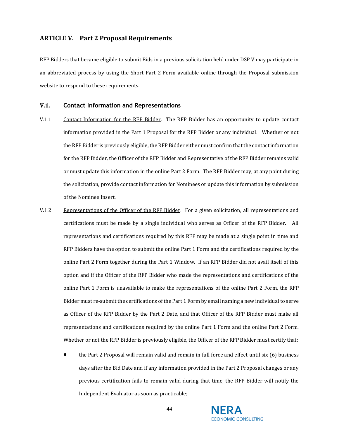# <span id="page-43-1"></span>**ARTICLE V. Part 2 Proposal Requirements**

RFP Bidders that became eligible to submit Bids in a previous solicitation held under DSP V may participate in an abbreviated process by using the Short Part 2 Form available online through the Proposal submission website to respond to these requirements.

#### <span id="page-43-0"></span>**V.1. Contact Information and Representations**

- V.1.1. Contact Information for the RFP Bidder. The RFP Bidder has an opportunity to update contact information provided in the Part 1 Proposal for the RFP Bidder or any individual. Whether or not the RFP Bidder is previously eligible, the RFP Bidder either must confirm that the contact information for the RFP Bidder, the Officer of the RFP Bidder and Representative of the RFP Bidder remains valid or must update this information in the online Part 2 Form. The RFP Bidder may, at any point during the solicitation, provide contact information for Nominees or update this information by submission of the Nominee Insert.
- V.1.2. Representations of the Officer of the RFP Bidder. For a given solicitation, all representations and certifications must be made by a single individual who serves as Officer of the RFP Bidder. All representations and certifications required by this RFP may be made at a single point in time and RFP Bidders have the option to submit the online Part 1 Form and the certifications required by the online Part 2 Form together during the Part 1 Window. If an RFP Bidder did not avail itself of this option and if the Officer of the RFP Bidder who made the representations and certifications of the online Part 1 Form is unavailable to make the representations of the online Part 2 Form, the RFP Bidder must re-submit the certifications of the Part 1 Form by email naming a new individual to serve as Officer of the RFP Bidder by the Part 2 Date, and that Officer of the RFP Bidder must make all representations and certifications required by the online Part 1 Form and the online Part 2 Form. Whether or not the RFP Bidder is previously eligible, the Officer of the RFP Bidder must certify that:
	- the Part 2 Proposal will remain valid and remain in full force and effect until six (6) business days after the Bid Date and if any information provided in the Part 2 Proposal changes or any previous certification fails to remain valid during that time, the RFP Bidder will notify the Independent Evaluator as soon as practicable;

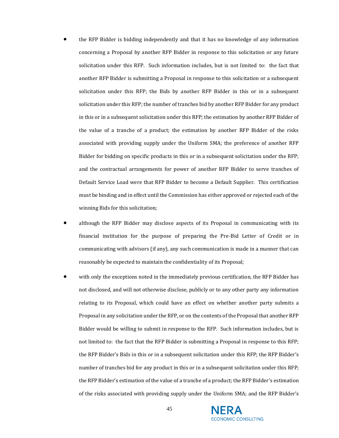- the RFP Bidder is bidding independently and that it has no knowledge of any information concerning a Proposal by another RFP Bidder in response to this solicitation or any future solicitation under this RFP. Such information includes, but is not limited to: the fact that another RFP Bidder is submitting a Proposal in response to this solicitation or a subsequent solicitation under this RFP; the Bids by another RFP Bidder in this or in a subsequent solicitation under this RFP; the number of tranches bid by another RFP Bidder for any product in this or in a subsequent solicitation under this RFP; the estimation by another RFP Bidder of the value of a tranche of a product; the estimation by another RFP Bidder of the risks associated with providing supply under the Uniform SMA; the preference of another RFP Bidder for bidding on specific products in this or in a subsequent solicitation under the RFP; and the contractual arrangements for power of another RFP Bidder to serve tranches of Default Service Load were that RFP Bidder to become a Default Supplier. This certification must be binding and in effect until the Commission has either approved or rejected each of the winning Bids for this solicitation;
- although the RFP Bidder may disclose aspects of its Proposal in communicating with its financial institution for the purpose of preparing the Pre-Bid Letter of Credit or in communicating with advisors (if any), any such communication is made in a manner that can reasonably be expected to maintain the confidentiality of its Proposal;
- with only the exceptions noted in the immediately previous certification, the RFP Bidder has not disclosed, and will not otherwise disclose, publicly or to any other party any information relating to its Proposal, which could have an effect on whether another party submits a Proposal in any solicitation under the RFP, or on the contents of the Proposal that another RFP Bidder would be willing to submit in response to the RFP. Such information includes, but is not limited to: the fact that the RFP Bidder is submitting a Proposal in response to this RFP; the RFP Bidder's Bids in this or in a subsequent solicitation under this RFP; the RFP Bidder's number of tranches bid for any product in this or in a subsequent solicitation under this RFP; the RFP Bidder's estimation of the value of a tranche of a product; the RFP Bidder's estimation of the risks associated with providing supply under the Uniform SMA; and the RFP Bidder's

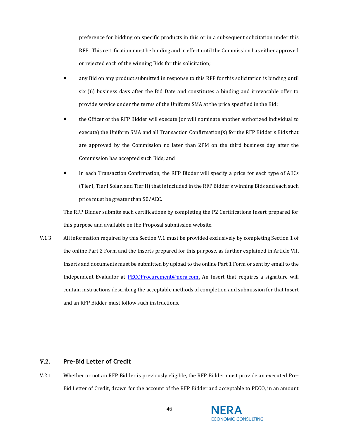preference for bidding on specific products in this or in a subsequent solicitation under this RFP. This certification must be binding and in effect until the Commission has either approved or rejected each of the winning Bids for this solicitation;

- any Bid on any product submitted in response to this RFP for this solicitation is binding until six (6) business days after the Bid Date and constitutes a binding and irrevocable offer to provide service under the terms of the Uniform SMA at the price specified in the Bid;
- the Officer of the RFP Bidder will execute (or will nominate another authorized individual to execute) the Uniform SMA and all Transaction Confirmation(s) for the RFP Bidder's Bids that are approved by the Commission no later than 2PM on the third business day after the Commission has accepted such Bids; and
- In each Transaction Confirmation, the RFP Bidder will specify a price for each type of AECs (Tier I, Tier I Solar, and Tier II) that is included in the RFP Bidder's winning Bids and each such price must be greater than \$0/AEC.

The RFP Bidder submits such certifications by completing the P2 Certifications Insert prepared for this purpose and available on the Proposal submission website.

V.1.3. All information required by this Sectio[n V.1](#page-43-0) must be provided exclusively by completing Section 1 of the online Part 2 Form and the Inserts prepared for this purpose, as further explained in [Article VII.](#page-56-0) Inserts and documents must be submitted by upload to the online Part 1 Form or sent by email to the Independent Evaluator at **PECOProcurement@nera.com**. An Insert that requires a signature will contain instructions describing the acceptable methods of completion and submission for that Insert and an RFP Bidder must follow such instructions.

## <span id="page-45-0"></span>**V.2. Pre-Bid Letter of Credit**

<span id="page-45-1"></span>V.2.1. Whether or not an RFP Bidder is previously eligible, the RFP Bidder must provide an executed Pre-Bid Letter of Credit, drawn for the account of the RFP Bidder and acceptable to PECO, in an amount

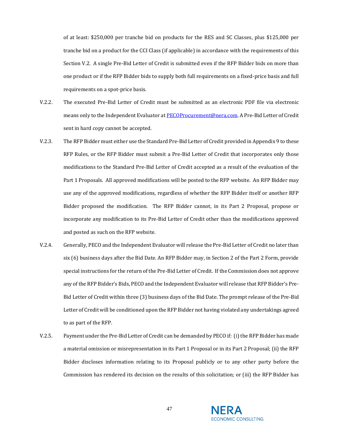of at least: \$250,000 per tranche bid on products for the RES and SC Classes, plus \$125,000 per tranche bid on a product for the CCI Class (if applicable) in accordance with the requirements of this Section [V.2.](#page-45-0) A single Pre-Bid Letter of Credit is submitted even if the RFP Bidder bids on more than one product or if the RFP Bidder bids to supply both full requirements on a fixed-price basis and full requirements on a spot-price basis.

- V.2.2. The executed Pre-Bid Letter of Credit must be submitted as an electronic PDF file via electronic means only to the Independent Evaluator a[t PECOProcurement@nera.com.](mailto:PECOProcurement@nera.com) A Pre-Bid Letter of Credit sent in hard copy cannot be accepted.
- V.2.3. The RFP Bidder must either use the Standard Pre-Bid Letter of Credit provided in Appendix 9 to these RFP Rules, or the RFP Bidder must submit a Pre-Bid Letter of Credit that incorporates only those modifications to the Standard Pre-Bid Letter of Credit accepted as a result of the evaluation of the Part 1 Proposals. All approved modifications will be posted to the RFP website. An RFP Bidder may use any of the approved modifications, regardless of whether the RFP Bidder itself or another RFP Bidder proposed the modification. The RFP Bidder cannot, in its Part 2 Proposal, propose or incorporate any modification to its Pre-Bid Letter of Credit other than the modifications approved and posted as such on the RFP website.
- V.2.4. Generally, PECO and the Independent Evaluator will release the Pre-Bid Letter of Credit no later than six (6) business days after the Bid Date. An RFP Bidder may, in Section 2 of the Part 2 Form, provide special instructions for the return of the Pre-Bid Letter of Credit. If the Commission does not approve any of the RFP Bidder's Bids, PECO and the Independent Evaluator will release that RFP Bidder's Pre-Bid Letter of Credit within three (3) business days of the Bid Date. The prompt release of the Pre-Bid Letter of Credit will be conditioned upon the RFP Bidder not having violated any undertakings agreed to as part of the RFP.
- V.2.5. Payment under the Pre-Bid Letter of Credit can be demanded by PECO if: (i) the RFP Bidder has made a material omission or misrepresentation in its Part 1 Proposal or in its Part 2 Proposal; (ii) the RFP Bidder discloses information relating to its Proposal publicly or to any other party before the Commission has rendered its decision on the results of this solicitation; or (iii) the RFP Bidder has

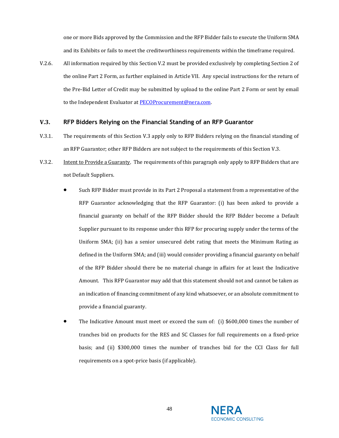one or more Bids approved by the Commission and the RFP Bidder fails to execute the Uniform SMA and its Exhibits or fails to meet the creditworthiness requirements within the timeframe required.

V.2.6. All information required by this Sectio[n V.2](#page-45-0) must be provided exclusively by completing Section 2 of the online Part 2 Form, as further explained in [Article VII.](#page-56-0) Any special instructions for the return of the Pre-Bid Letter of Credit may be submitted by upload to the online Part 2 Form or sent by email to the Independent Evaluator a[t PECOProcurement@nera.com.](mailto:PECOProcurement@nera.com) 

## <span id="page-47-0"></span>**V.3. RFP Bidders Relying on the Financial Standing of an RFP Guarantor**

- V.3.1. The requirements of this Section [V.3](#page-47-0) apply only to RFP Bidders relying on the financial standing of an RFP Guarantor; other RFP Bidders are not subject to the requirements of this Section [V.3.](#page-47-0)
- V.3.2. Intent to Provide a Guaranty. The requirements of this paragraph only apply to RFP Bidders that are not Default Suppliers.
	- Such RFP Bidder must provide in its Part 2 Proposal a statement from a representative of the RFP Guarantor acknowledging that the RFP Guarantor: (i) has been asked to provide a financial guaranty on behalf of the RFP Bidder should the RFP Bidder become a Default Supplier pursuant to its response under this RFP for procuring supply under the terms of the Uniform SMA; (ii) has a senior unsecured debt rating that meets the Minimum Rating as defined in the Uniform SMA; and (iii) would consider providing a financial guaranty on behalf of the RFP Bidder should there be no material change in affairs for at least the Indicative Amount. This RFP Guarantor may add that this statement should not and cannot be taken as an indication of financing commitment of any kind whatsoever, or an absolute commitment to provide a financial guaranty.
	- The Indicative Amount must meet or exceed the sum of: (i) \$600,000 times the number of tranches bid on products for the RES and SC Classes for full requirements on a fixed-price basis; and (ii) \$300,000 times the number of tranches bid for the CCI Class for full requirements on a spot-price basis (if applicable).

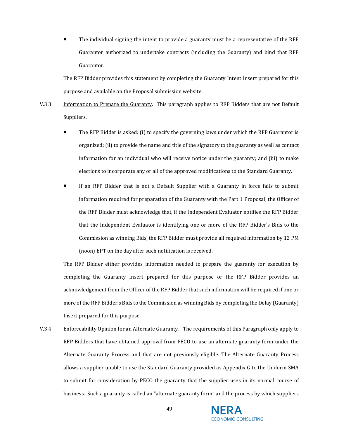• The individual signing the intent to provide a guaranty must be a representative of the RFP Guarantor authorized to undertake contracts (including the Guaranty) and bind that RFP Guarantor.

The RFP Bidder provides this statement by completing the Guaranty Intent Insert prepared for this purpose and available on the Proposal submission website.

- <span id="page-48-0"></span>V.3.3. Information to Prepare the Guaranty. This paragraph applies to RFP Bidders that are not Default Suppliers.
	- The RFP Bidder is asked: (i) to specify the governing laws under which the RFP Guarantor is organized; (ii) to provide the name and title of the signatory to the guaranty as well as contact information for an individual who will receive notice under the guaranty; and (iii) to make elections to incorporate any or all of the approved modifications to the Standard Guaranty.
	- If an RFP Bidder that is not a Default Supplier with a Guaranty in force fails to submit information required for preparation of the Guaranty with the Part 1 Proposal, the Officer of the RFP Bidder must acknowledge that, if the Independent Evaluator notifies the RFP Bidder that the Independent Evaluator is identifying one or more of the RFP Bidder's Bids to the Commission as winning Bids, the RFP Bidder must provide all required information by 12 PM (noon) EPT on the day after such notification is received.

The RFP Bidder either provides information needed to prepare the guaranty for execution by completing the Guaranty Insert prepared for this purpose or the RFP Bidder provides an acknowledgement from the Officer of the RFP Bidder that such information will be required if one or more of the RFP Bidder's Bids to the Commission as winning Bids by completing the Delay (Guaranty) Insert prepared for this purpose.

V.3.4. Enforceability Opinion for an Alternate Guaranty. The requirements of this Paragraph only apply to RFP Bidders that have obtained approval from PECO to use an alternate guaranty form under the Alternate Guaranty Process and that are not previously eligible. The Alternate Guaranty Process allows a supplier unable to use the Standard Guaranty provided as Appendix G to the Uniform SMA to submit for consideration by PECO the guaranty that the supplier uses in its normal course of business. Such a guaranty is called an "alternate guaranty form" and the process by which suppliers

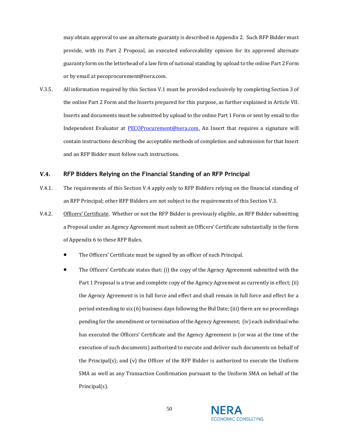may obtain approval to use an alternate guaranty is described in Appendix 2. Such RFP Bidder must provide, with its Part 2 Proposal, an executed enforceability opinion for its approved alternate guaranty form on the letterhead of a law firm of national standing by upload to the online Part 2 Form or by email at pecoprocurement@nera.com.

V.3.5. All information required by this Sectio[n V.1](#page-43-0) must be provided exclusively by completing Section 3 of the online Part 2 Form and the Inserts prepared for this purpose, as further explained i[n Article VII.](#page-56-0) Inserts and documents must be submitted by upload to the online Part 1 Form or sent by email to the Independent Evaluator at **PECOProcurement@nera.com**. An Insert that requires a signature will contain instructions describing the acceptable methods of completion and submission for that Insert and an RFP Bidder must follow such instructions.

#### <span id="page-49-0"></span>**V.4. RFP Bidders Relying on the Financial Standing of an RFP Principal**

- V.4.1. The requirements of this Section V.4 apply only to RFP Bidders relying on the financial standing of an RFP Principal; other RFP Bidders are not subject to the requirements of this Sectio[n V.3.](#page-47-0)
- V.4.2. Officers' Certificate. Whether or not the RFP Bidder is previously eligible, an RFP Bidder submitting a Proposal under an Agency Agreement must submit an Officers' Certificate substantially in the form of Appendix 6 to these RFP Rules.
	- The Officers' Certificate must be signed by an officer of each Principal.
	- The Officers' Certificate states that: (i) the copy of the Agency Agreement submitted with the Part 1 Proposal is a true and complete copy of the Agency Agreement as currently in effect; (ii) the Agency Agreement is in full force and effect and shall remain in full force and effect for a period extending to six (6) business days following the Bid Date; (iii) there are no proceedings pending for the amendment or termination of the Agency Agreement; (iv) each individual who has executed the Officers' Certificate and the Agency Agreement is (or was at the time of the execution of such documents) authorized to execute and deliver such documents on behalf of the Principal(s); and (v) the Officer of the RFP Bidder is authorized to execute the Uniform SMA as well as any Transaction Confirmation pursuant to the Uniform SMA on behalf of the Principal(s).

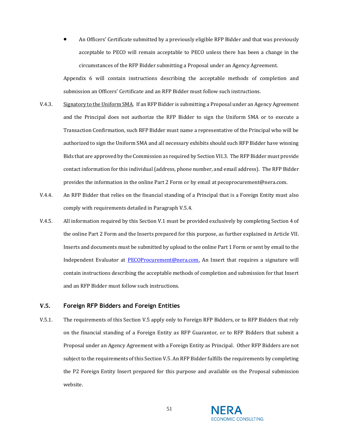• An Officers' Certificate submitted by a previously eligible RFP Bidder and that was previously acceptable to PECO will remain acceptable to PECO unless there has been a change in the circumstances of the RFP Bidder submitting a Proposal under an Agency Agreement.

Appendix 6 will contain instructions describing the acceptable methods of completion and submission an Officers' Certificate and an RFP Bidder must follow such instructions.

- V.4.3. Signatory to the Uniform SMA. If an RFP Bidder is submitting a Proposal under an Agency Agreement and the Principal does not authorize the RFP Bidder to sign the Uniform SMA or to execute a Transaction Confirmation, such RFP Bidder must name a representative of the Principal who will be authorized to sign the Uniform SMA and all necessary exhibits should such RFP Bidder have winning Bids that are approved by the Commission as required by Sectio[n VII.3.](#page-71-0) The RFP Bidder must provide contact information for this individual (address, phone number, and email address). The RFP Bidder provides the information in the online Part 2 Form or by email at pecoprocurement@nera.com.
- V.4.4. An RFP Bidder that relies on the financial standing of a Principal that is a Foreign Entity must also comply with requirements detailed in Paragraph [V.5.4.](#page-53-0)
- V.4.5. All information required by this Sectio[n V.1](#page-43-0) must be provided exclusively by completing Section 4 of the online Part 2 Form and the Inserts prepared for this purpose, as further explained i[n Article VII.](#page-56-0) Inserts and documents must be submitted by upload to the online Part 1 Form or sent by email to the Independent Evaluator at [PECOProcurement@nera.com.](mailto:PECOProcurement@nera.com) An Insert that requires a signature will contain instructions describing the acceptable methods of completion and submission for that Insert and an RFP Bidder must follow such instructions.

## <span id="page-50-0"></span>**V.5. Foreign RFP Bidders and Foreign Entities**

V.5.1. The requirements of this Section [V.5](#page-50-0) apply only to Foreign RFP Bidders, or to RFP Bidders that rely on the financial standing of a Foreign Entity as RFP Guarantor, or to RFP Bidders that submit a Proposal under an Agency Agreement with a Foreign Entity as Principal. Other RFP Bidders are not subject to the requirements of this Sectio[n V.5.](#page-50-0) An RFP Bidder fulfills the requirements by completing the P2 Foreign Entity Insert prepared for this purpose and available on the Proposal submission website.

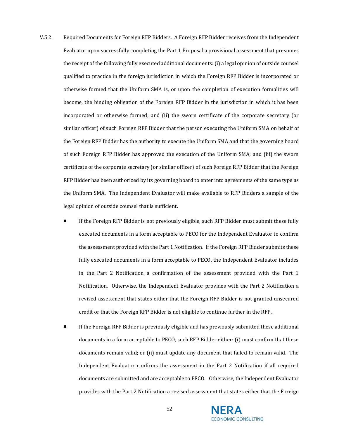- <span id="page-51-0"></span>V.5.2. Required Documents for Foreign RFP Bidders. A Foreign RFP Bidder receives from the Independent Evaluator upon successfully completing the Part 1 Proposal a provisional assessment that presumes the receipt of the following fully executed additional documents: (i) a legal opinion of outside counsel qualified to practice in the foreign jurisdiction in which the Foreign RFP Bidder is incorporated or otherwise formed that the Uniform SMA is, or upon the completion of execution formalities will become, the binding obligation of the Foreign RFP Bidder in the jurisdiction in which it has been incorporated or otherwise formed; and (ii) the sworn certificate of the corporate secretary (or similar officer) of such Foreign RFP Bidder that the person executing the Uniform SMA on behalf of the Foreign RFP Bidder has the authority to execute the Uniform SMA and that the governing board of such Foreign RFP Bidder has approved the execution of the Uniform SMA; and (iii) the sworn certificate of the corporate secretary (or similar officer) of such Foreign RFP Bidder that the Foreign RFP Bidder has been authorized by its governing board to enter into agreements of the same type as the Uniform SMA. The Independent Evaluator will make available to RFP Bidders a sample of the legal opinion of outside counsel that is sufficient.
	- If the Foreign RFP Bidder is not previously eligible, such RFP Bidder must submit these fully executed documents in a form acceptable to PECO for the Independent Evaluator to confirm the assessment provided with the Part 1 Notification. If the Foreign RFP Bidder submits these fully executed documents in a form acceptable to PECO, the Independent Evaluator includes in the Part 2 Notification a confirmation of the assessment provided with the Part 1 Notification. Otherwise, the Independent Evaluator provides with the Part 2 Notification a revised assessment that states either that the Foreign RFP Bidder is not granted unsecured credit or that the Foreign RFP Bidder is not eligible to continue further in the RFP.
	- If the Foreign RFP Bidder is previously eligible and has previously submitted these additional documents in a form acceptable to PECO, such RFP Bidder either: (i) must confirm that these documents remain valid; or (ii) must update any document that failed to remain valid. The Independent Evaluator confirms the assessment in the Part 2 Notification if all required documents are submitted and are acceptable to PECO. Otherwise, the Independent Evaluator provides with the Part 2 Notification a revised assessment that states either that the Foreign

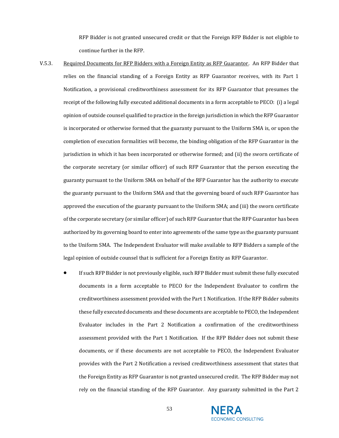RFP Bidder is not granted unsecured credit or that the Foreign RFP Bidder is not eligible to continue further in the RFP.

- <span id="page-52-0"></span>V.5.3. Required Documents for RFP Bidders with a Foreign Entity as RFP Guarantor. An RFP Bidder that relies on the financial standing of a Foreign Entity as RFP Guarantor receives, with its Part 1 Notification, a provisional creditworthiness assessment for its RFP Guarantor that presumes the receipt of the following fully executed additional documents in a form acceptable to PECO: (i) a legal opinion of outside counsel qualified to practice in the foreign jurisdiction in which the RFP Guarantor is incorporated or otherwise formed that the guaranty pursuant to the Uniform SMA is, or upon the completion of execution formalities will become, the binding obligation of the RFP Guarantor in the jurisdiction in which it has been incorporated or otherwise formed; and (ii) the sworn certificate of the corporate secretary (or similar officer) of such RFP Guarantor that the person executing the guaranty pursuant to the Uniform SMA on behalf of the RFP Guarantor has the authority to execute the guaranty pursuant to the Uniform SMA and that the governing board of such RFP Guarantor has approved the execution of the guaranty pursuant to the Uniform SMA; and (iii) the sworn certificate of the corporate secretary (or similar officer) of such RFP Guarantor that the RFP Guarantor has been authorized by its governing board to enter into agreements of the same type as the guaranty pursuant to the Uniform SMA. The Independent Evaluator will make available to RFP Bidders a sample of the legal opinion of outside counsel that is sufficient for a Foreign Entity as RFP Guarantor.
	- If such RFP Bidder is not previously eligible, such RFP Bidder must submit these fully executed documents in a form acceptable to PECO for the Independent Evaluator to confirm the creditworthiness assessment provided with the Part 1 Notification. If the RFP Bidder submits these fully executed documents and these documents are acceptable to PECO, the Independent Evaluator includes in the Part 2 Notification a confirmation of the creditworthiness assessment provided with the Part 1 Notification. If the RFP Bidder does not submit these documents, or if these documents are not acceptable to PECO, the Independent Evaluator provides with the Part 2 Notification a revised creditworthiness assessment that states that the Foreign Entity as RFP Guarantor is not granted unsecured credit. The RFP Bidder may not rely on the financial standing of the RFP Guarantor. Any guaranty submitted in the Part 2

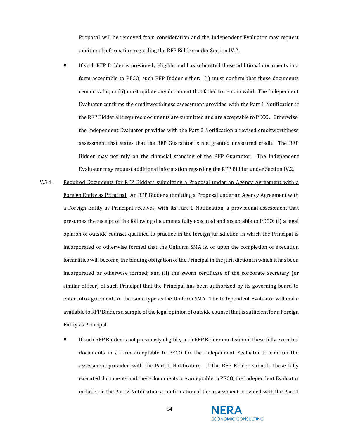Proposal will be removed from consideration and the Independent Evaluator may request additional information regarding the RFP Bidder under Section [IV.2.](#page-26-0) 

- If such RFP Bidder is previously eligible and has submitted these additional documents in a form acceptable to PECO, such RFP Bidder either: (i) must confirm that these documents remain valid; or (ii) must update any document that failed to remain valid. The Independent Evaluator confirms the creditworthiness assessment provided with the Part 1 Notification if the RFP Bidder all required documents are submitted and are acceptable to PECO. Otherwise, the Independent Evaluator provides with the Part 2 Notification a revised creditworthiness assessment that states that the RFP Guarantor is not granted unsecured credit. The RFP Bidder may not rely on the financial standing of the RFP Guarantor. The Independent Evaluator may request additional information regarding the RFP Bidder under Section [IV.2](#page-26-0).
- <span id="page-53-0"></span>V.5.4. Required Documents for RFP Bidders submitting a Proposal under an Agency Agreement with a Foreign Entity as Principal. An RFP Bidder submitting a Proposal under an Agency Agreement with a Foreign Entity as Principal receives, with its Part 1 Notification, a provisional assessment that presumes the receipt of the following documents fully executed and acceptable to PECO: (i) a legal opinion of outside counsel qualified to practice in the foreign jurisdiction in which the Principal is incorporated or otherwise formed that the Uniform SMA is, or upon the completion of execution formalities will become, the binding obligation of the Principal in the jurisdiction in which it has been incorporated or otherwise formed; and (ii) the sworn certificate of the corporate secretary (or similar officer) of such Principal that the Principal has been authorized by its governing board to enter into agreements of the same type as the Uniform SMA. The Independent Evaluator will make available to RFP Bidders a sample of the legal opinion of outside counsel that is sufficient for a Foreign Entity as Principal.
	- If such RFP Bidder is not previously eligible, such RFP Bidder must submit these fully executed documents in a form acceptable to PECO for the Independent Evaluator to confirm the assessment provided with the Part 1 Notification. If the RFP Bidder submits these fully executed documents and these documents are acceptable to PECO, the Independent Evaluator includes in the Part 2 Notification a confirmation of the assessment provided with the Part 1

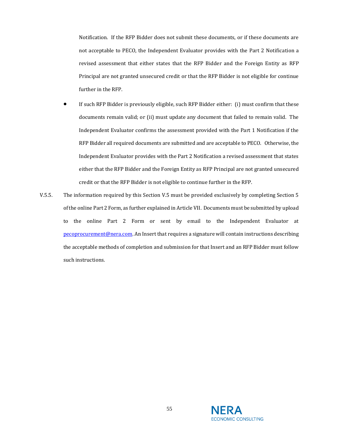Notification. If the RFP Bidder does not submit these documents, or if these documents are not acceptable to PECO, the Independent Evaluator provides with the Part 2 Notification a revised assessment that either states that the RFP Bidder and the Foreign Entity as RFP Principal are not granted unsecured credit or that the RFP Bidder is not eligible for continue further in the RFP.

- If such RFP Bidder is previously eligible, such RFP Bidder either: (i) must confirm that these documents remain valid; or (ii) must update any document that failed to remain valid. The Independent Evaluator confirms the assessment provided with the Part 1 Notification if the RFP Bidder all required documents are submitted and are acceptable to PECO. Otherwise, the Independent Evaluator provides with the Part 2 Notification a revised assessment that states either that the RFP Bidder and the Foreign Entity as RFP Principal are not granted unsecured credit or that the RFP Bidder is not eligible to continue further in the RFP.
- <span id="page-54-0"></span>V.5.5. The information required by this Section [V.5](#page-50-0) must be provided exclusively by completing Section 5 of the online Part 2 Form, as further explained i[n Article VII.](#page-56-0) Documents must be submitted by upload to the online Part 2 Form or sent by email to the Independent Evaluator at [pecoprocurement@nera.com.](mailto:pecoprocurement@nera.com) An Insert that requires a signature will contain instructions describing the acceptable methods of completion and submission for that Insert and an RFP Bidder must follow such instructions.

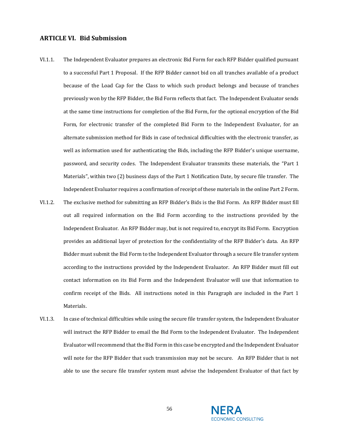# <span id="page-55-0"></span>**ARTICLE VI. Bid Submission**

- VI.1.1. The Independent Evaluator prepares an electronic Bid Form for each RFP Bidder qualified pursuant to a successful Part 1 Proposal. If the RFP Bidder cannot bid on all tranches available of a product because of the Load Cap for the Class to which such product belongs and because of tranches previously won by the RFP Bidder, the Bid Form reflects that fact. The Independent Evaluator sends at the same time instructions for completion of the Bid Form, for the optional encryption of the Bid Form, for electronic transfer of the completed Bid Form to the Independent Evaluator, for an alternate submission method for Bids in case of technical difficulties with the electronic transfer, as well as information used for authenticating the Bids, including the RFP Bidder's unique username, password, and security codes. The Independent Evaluator transmits these materials, the "Part 1 Materials", within two (2) business days of the Part 1 Notification Date, by secure file transfer. The Independent Evaluator requires a confirmation of receipt of these materials in the online Part 2 Form.
- VI.1.2. The exclusive method for submitting an RFP Bidder's Bids is the Bid Form. An RFP Bidder must fill out all required information on the Bid Form according to the instructions provided by the Independent Evaluator. An RFP Bidder may, but is not required to, encrypt its Bid Form. Encryption provides an additional layer of protection for the confidentiality of the RFP Bidder's data. An RFP Bidder must submit the Bid Form to the Independent Evaluator through a secure file transfer system according to the instructions provided by the Independent Evaluator. An RFP Bidder must fill out contact information on its Bid Form and the Independent Evaluator will use that information to confirm receipt of the Bids. All instructions noted in this Paragraph are included in the Part 1 Materials.
- VI.1.3. In case of technical difficulties while using the secure file transfer system, the Independent Evaluator will instruct the RFP Bidder to email the Bid Form to the Independent Evaluator. The Independent Evaluator will recommend that the Bid Form in this case be encrypted and the Independent Evaluator will note for the RFP Bidder that such transmission may not be secure. An RFP Bidder that is not able to use the secure file transfer system must advise the Independent Evaluator of that fact by

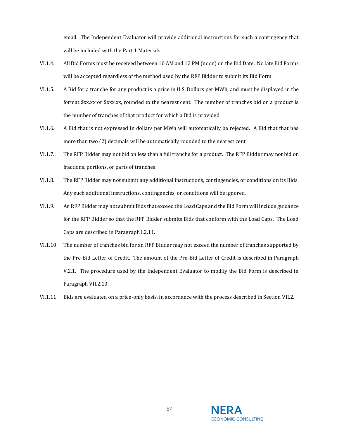email. The Independent Evaluator will provide additional instructions for such a contingency that will be included with the Part 1 Materials.

- VI.1.4. All Bid Forms must be received between 10 AM and 12 PM (noon) on the Bid Date. No late Bid Forms will be accepted regardless of the method used by the RFP Bidder to submit its Bid Form.
- VI.1.5. A Bid for a tranche for any product is a price in U.S. Dollars per MWh, and must be displayed in the format \$xx.xx or \$xxx.xx, rounded to the nearest cent. The number of tranches bid on a product is the number of tranches of that product for which a Bid is provided.
- VI.1.6. A Bid that is not expressed in dollars per MWh will automatically be rejected. A Bid that that has more than two (2) decimals will be automatically rounded to the nearest cent.
- VI.1.7. The RFP Bidder may not bid on less than a full tranche for a product. The RFP Bidder may not bid on fractions, portions, or parts of tranches.
- VI.1.8. The RFP Bidder may not submit any additional instructions, contingencies, or conditions on its Bids. Any such additional instructions, contingencies, or conditions will be ignored.
- VI.1.9. An RFP Bidder may not submit Bids that exceed the Load Caps and the Bid Form will include guidance for the RFP Bidder so that the RFP Bidder submits Bids that conform with the Load Caps. The Load Caps are described in Paragrap[h I.2.11.](#page-10-0)
- VI.1.10. The number of tranches bid for an RFP Bidder may not exceed the number of tranches supported by the Pre-Bid Letter of Credit. The amount of the Pre-Bid Letter of Credit is described in Paragraph [V.2.1.](#page-45-1) The procedure used by the Independent Evaluator to modify the Bid Form is described in Paragrap[h VII.2.10.](#page-69-0)
- <span id="page-56-0"></span>VI.1.11. Bids are evaluated on a price-only basis, in accordance with the process described in Sectio[n VII.2.](#page-67-0)

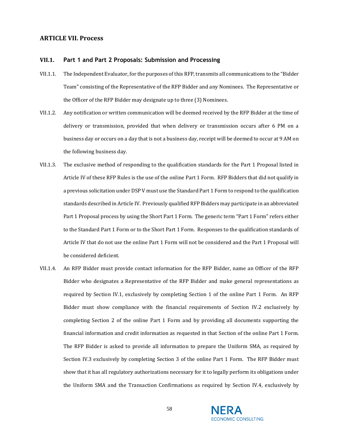## **ARTICLE VII. Process**

#### **VII.1. Part 1 and Part 2 Proposals: Submission and Processing**

- VII.1.1. The Independent Evaluator, for the purposes of this RFP, transmits all communications to the "Bidder Team" consisting of the Representative of the RFP Bidder and any Nominees. The Representative or the Officer of the RFP Bidder may designate up to three (3) Nominees.
- VII.1.2. Any notification or written communication will be deemed received by the RFP Bidder at the time of delivery or transmission, provided that when delivery or transmission occurs after 6 PM on a business day or occurs on a day that is not a business day, receipt will be deemed to occur at 9 AM on the following business day.
- VII.1.3. The exclusive method of responding to the qualification standards for the Part 1 Proposal listed in [Article IV](#page-24-0) of these RFP Rules is the use of the online Part 1 Form. RFP Bidders that did not qualify in a previous solicitation under DSP V must use the Standard Part 1 Form to respond to the qualification standards described i[n Article IV.](#page-24-0) Previously qualified RFP Bidders may participate in an abbreviated Part 1 Proposal process by using the Short Part 1 Form. The generic term "Part 1 Form" refers either to the Standard Part 1 Form or to the Short Part 1 Form. Responses to the qualification standards of [Article IV](#page-24-0) that do not use the online Part 1 Form will not be considered and the Part 1 Proposal will be considered deficient.
- VII.1.4. An RFP Bidder must provide contact information for the RFP Bidder, name an Officer of the RFP Bidder who designates a Representative of the RFP Bidder and make general representations as required by Section [IV.1,](#page-24-1) exclusively by completing Section 1 of the online Part 1 Form. An RFP Bidder must show compliance with the financial requirements of Section [IV.2](#page-26-0) exclusively by completing Section 2 of the online Part 1 Form and by providing all documents supporting the financial information and credit information as requested in that Section of the online Part 1 Form. The RFP Bidder is asked to provide all information to prepare the Uniform SMA, as required by Section [IV.3](#page-31-0) exclusively by completing Section 3 of the online Part 1 Form. The RFP Bidder must show that it has all regulatory authorizations necessary for it to legally perform its obligations under the Uniform SMA and the Transaction Confirmations as required by Section [IV.4,](#page-34-0) exclusively by

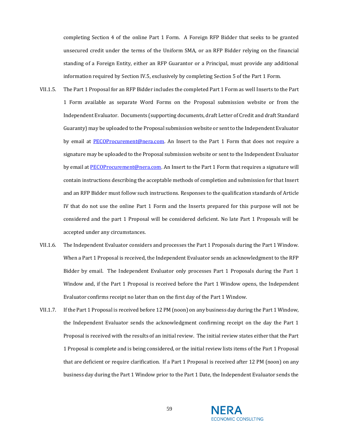completing Section 4 of the online Part 1 Form. A Foreign RFP Bidder that seeks to be granted unsecured credit under the terms of the Uniform SMA, or an RFP Bidder relying on the financial standing of a Foreign Entity, either an RFP Guarantor or a Principal, must provide any additional information required by Section [IV.5,](#page-37-0) exclusively by completing Section 5 of the Part 1 Form.

- VII.1.5. The Part 1 Proposal for an RFP Bidder includes the completed Part 1 Form as well Inserts to the Part 1 Form available as separate Word Forms on the Proposal submission website or from the Independent Evaluator. Documents (supporting documents, draft Letter of Credit and draft Standard Guaranty) may be uploaded to the Proposal submission website or sent to the Independent Evaluator by email at [PECOProcurement@nera.com.](mailto:PECOProcurement@nera.com) An Insert to the Part 1 Form that does not require a signature may be uploaded to the Proposal submission website or sent to the Independent Evaluator by email a[t PECOProcurement@nera.com](mailto:PECOProcurement@nera.com). An Insert to the Part 1 Form that requires a signature will contain instructions describing the acceptable methods of completion and submission for that Insert and an RFP Bidder must follow such instructions. Responses to the qualification standards of Article IV that do not use the online Part 1 Form and the Inserts prepared for this purpose will not be considered and the part 1 Proposal will be considered deficient. No late Part 1 Proposals will be accepted under any circumstances.
- VII.1.6. The Independent Evaluator considers and processes the Part 1 Proposals during the Part 1 Window. When a Part 1 Proposal is received, the Independent Evaluator sends an acknowledgment to the RFP Bidder by email. The Independent Evaluator only processes Part 1 Proposals during the Part 1 Window and, if the Part 1 Proposal is received before the Part 1 Window opens, the Independent Evaluator confirms receipt no later than on the first day of the Part 1 Window.
- VII.1.7. If the Part 1 Proposal is received before 12 PM (noon) on any business day during the Part 1 Window, the Independent Evaluator sends the acknowledgment confirming receipt on the day the Part 1 Proposal is received with the results of an initial review. The initial review states either that the Part 1 Proposal is complete and is being considered, or the initial review lists items of the Part 1 Proposal that are deficient or require clarification. If a Part 1 Proposal is received after 12 PM (noon) on any business day during the Part 1 Window prior to the Part 1 Date, the Independent Evaluator sends the

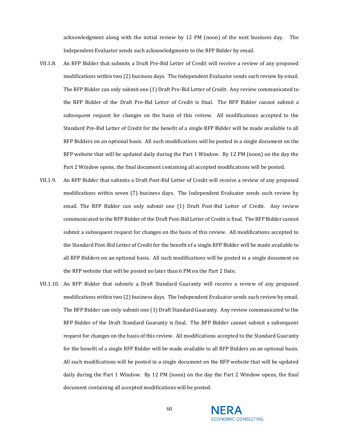acknowledgment along with the initial review by 12 PM (noon) of the next business day. The Independent Evaluator sends such acknowledgments to the RFP Bidder by email.

- VII.1.8. An RFP Bidder that submits a Draft Pre-Bid Letter of Credit will receive a review of any proposed modifications within two (2) business days. The Independent Evaluator sends such review by email. The RFP Bidder can only submit one (1) Draft Pre-Bid Letter of Credit. Any review communicated to the RFP Bidder of the Draft Pre-Bid Letter of Credit is final. The RFP Bidder cannot submit a subsequent request for changes on the basis of this review. All modifications accepted to the Standard Pre-Bid Letter of Credit for the benefit of a single RFP Bidder will be made available to all RFP Bidders on an optional basis. All such modifications will be posted in a single document on the RFP website that will be updated daily during the Part 1 Window. By 12 PM (noon) on the day the Part 2 Window opens, the final document containing all accepted modifications will be posted.
- VII.1.9. An RFP Bidder that submits a Draft Post-Bid Letter of Credit will receive a review of any proposed modifications within seven (7) business days. The Independent Evaluator sends such review by email. The RFP Bidder can only submit one (1) Draft Post-Bid Letter of Credit. Any review communicated to the RFP Bidder of the Draft Post-Bid Letter of Credit is final. The RFP Bidder cannot submit a subsequent request for changes on the basis of this review. All modifications accepted to the Standard Post-Bid Letter of Credit for the benefit of a single RFP Bidder will be made available to all RFP Bidders on an optional basis. All such modifications will be posted in a single document on the RFP website that will be posted no later than 6 PM on the Part 2 Date.
- VII.1.10. An RFP Bidder that submits a Draft Standard Guaranty will receive a review of any proposed modifications within two (2) business days. The Independent Evaluator sends such review by email. The RFP Bidder can only submit one (1) Draft Standard Guaranty. Any review communicated to the RFP Bidder of the Draft Standard Guaranty is final. The RFP Bidder cannot submit a subsequent request for changes on the basis of this review. All modifications accepted to the Standard Guaranty for the benefit of a single RFP Bidder will be made available to all RFP Bidders on an optional basis. All such modifications will be posted in a single document on the RFP website that will be updated daily during the Part 1 Window. By 12 PM (noon) on the day the Part 2 Window opens, the final document containing all accepted modifications will be posted.

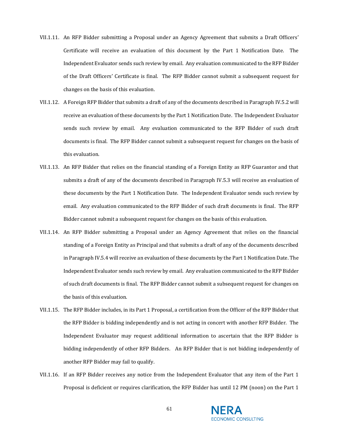- VII.1.11. An RFP Bidder submitting a Proposal under an Agency Agreement that submits a Draft Officers' Certificate will receive an evaluation of this document by the Part 1 Notification Date. The Independent Evaluator sends such review by email. Any evaluation communicated to the RFP Bidder of the Draft Officers' Certificate is final. The RFP Bidder cannot submit a subsequent request for changes on the basis of this evaluation.
- VII.1.12. A Foreign RFP Bidder that submits a draft of any of the documents described in Paragrap[h IV.5.2](#page-37-1) will receive an evaluation of these documents by the Part 1 Notification Date. The Independent Evaluator sends such review by email. Any evaluation communicated to the RFP Bidder of such draft documents is final. The RFP Bidder cannot submit a subsequent request for changes on the basis of this evaluation.
- VII.1.13. An RFP Bidder that relies on the financial standing of a Foreign Entity as RFP Guarantor and that submits a draft of any of the documents described in Paragraph [IV.5.3](#page-39-0) will receive an evaluation of these documents by the Part 1 Notification Date. The Independent Evaluator sends such review by email. Any evaluation communicated to the RFP Bidder of such draft documents is final. The RFP Bidder cannot submit a subsequent request for changes on the basis of this evaluation.
- VII.1.14. An RFP Bidder submitting a Proposal under an Agency Agreement that relies on the financial standing of a Foreign Entity as Principal and that submits a draft of any of the documents described in Paragrap[h IV.5.4](#page-41-0) will receive an evaluation of these documents by the Part 1 Notification Date. The Independent Evaluator sends such review by email. Any evaluation communicated to the RFP Bidder of such draft documents is final. The RFP Bidder cannot submit a subsequent request for changes on the basis of this evaluation.
- VII.1.15. The RFP Bidder includes, in its Part 1 Proposal, a certification from the Officer of the RFP Bidder that the RFP Bidder is bidding independently and is not acting in concert with another RFP Bidder. The Independent Evaluator may request additional information to ascertain that the RFP Bidder is bidding independently of other RFP Bidders. An RFP Bidder that is not bidding independently of another RFP Bidder may fail to qualify.
- VII.1.16. If an RFP Bidder receives any notice from the Independent Evaluator that any item of the Part 1 Proposal is deficient or requires clarification, the RFP Bidder has until 12 PM (noon) on the Part 1

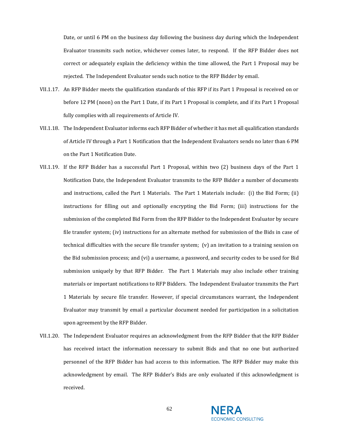Date, or until 6 PM on the business day following the business day during which the Independent Evaluator transmits such notice, whichever comes later, to respond. If the RFP Bidder does not correct or adequately explain the deficiency within the time allowed, the Part 1 Proposal may be rejected. The Independent Evaluator sends such notice to the RFP Bidder by email.

- VII.1.17. An RFP Bidder meets the qualification standards of this RFP if its Part 1 Proposal is received on or before 12 PM (noon) on the Part 1 Date, if its Part 1 Proposal is complete, and if its Part 1 Proposal fully complies with all requirements o[f Article IV.](#page-24-0)
- VII.1.18. The Independent Evaluator informs each RFP Bidder of whether it has met all qualification standards of [Article IV](#page-24-0) through a Part 1 Notification that the Independent Evaluators sends no later than 6 PM on the Part 1 Notification Date.
- VII.1.19. If the RFP Bidder has a successful Part 1 Proposal, within two (2) business days of the Part 1 Notification Date, the Independent Evaluator transmits to the RFP Bidder a number of documents and instructions, called the Part 1 Materials. The Part 1 Materials include: (i) the Bid Form; (ii) instructions for filling out and optionally encrypting the Bid Form; (iii) instructions for the submission of the completed Bid Form from the RFP Bidder to the Independent Evaluator by secure file transfer system; (iv) instructions for an alternate method for submission of the Bids in case of technical difficulties with the secure file transfer system; (v) an invitation to a training session on the Bid submission process; and (vi) a username, a password, and security codes to be used for Bid submission uniquely by that RFP Bidder. The Part 1 Materials may also include other training materials or important notifications to RFP Bidders. The Independent Evaluator transmits the Part 1 Materials by secure file transfer. However, if special circumstances warrant, the Independent Evaluator may transmit by email a particular document needed for participation in a solicitation upon agreement by the RFP Bidder.
- VII.1.20. The Independent Evaluator requires an acknowledgment from the RFP Bidder that the RFP Bidder has received intact the information necessary to submit Bids and that no one but authorized personnel of the RFP Bidder has had access to this information. The RFP Bidder may make this acknowledgment by email. The RFP Bidder's Bids are only evaluated if this acknowledgment is received.

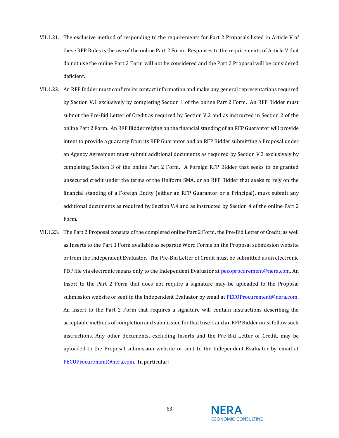- VII.1.21. The exclusive method of responding to the requirements for Part 2 Proposals listed in [Article V](#page-43-1) of these RFP Rules is the use of the online Part 2 Form. Responses to the requirements of [Article V](#page-43-1) that do not use the online Part 2 Form will not be considered and the Part 2 Proposal will be considered deficient.
- VII.1.22. An RFP Bidder must confirm its contact information and make any general representations required by Section [V.1](#page-43-0) exclusively by completing Section 1 of the online Part 2 Form. An RFP Bidder must submit the Pre-Bid Letter of Credit as required by Section V.2 and as instructed in Section 2 of the online Part 2 Form. An RFP Bidder relying on the financial standing of an RFP Guarantor will provide intent to provide a guaranty from its RFP Guarantor and an RFP Bidder submitting a Proposal under an Agency Agreement must submit additional documents as required by Section V.3 exclusively by completing Section 3 of the online Part 2 Form. A Foreign RFP Bidder that seeks to be granted unsecured credit under the terms of the Uniform SMA, or an RFP Bidder that seeks to rely on the financial standing of a Foreign Entity (either an RFP Guarantor or a Principal), must submit any additional documents as required by Section V.4 and as instructed by Section 4 of the online Part 2 Form.
- VII.1.23. The Part 2 Proposal consists of the completed online Part 2 Form, the Pre-Bid Letter of Credit, as well as Inserts to the Part 1 Form available as separate Word Forms on the Proposal submission website or from the Independent Evaluator. The Pre-Bid Letter of Credit must be submitted as an electronic PDF file via electronic means only to the Independent Evaluator at [pecoprocurement@nera.com.](mailto:pecoprocurement@nera.com) An Insert to the Part 2 Form that does not require a signature may be uploaded to the Proposal submission website or sent to the Independent Evaluator by email at [PECOProcurement@nera.com](mailto:PECOProcurement@nera.com). An Insert to the Part 2 Form that requires a signature will contain instructions describing the acceptable methods of completion and submission for that Insert and an RFP Bidder must follow such instructions. Any other documents, excluding Inserts and the Pre-Bid Letter of Credit, may be uploaded to the Proposal submission website or sent to the Independent Evaluator by email at [PECOProcurement@nera.com.](mailto:PECOProcurement@nera.com) In particular:

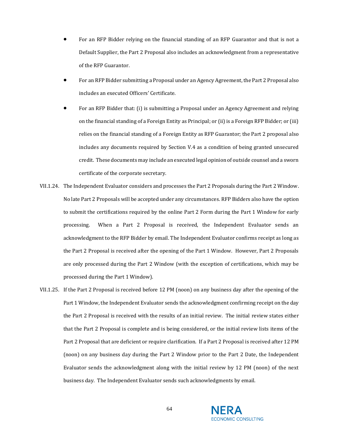- For an RFP Bidder relying on the financial standing of an RFP Guarantor and that is not a Default Supplier, the Part 2 Proposal also includes an acknowledgment from a representative of the RFP Guarantor.
- For an RFP Bidder submitting a Proposal under an Agency Agreement, the Part 2 Proposal also includes an executed Officers' Certificate.
- For an RFP Bidder that: (i) is submitting a Proposal under an Agency Agreement and relying on the financial standing of a Foreign Entity as Principal; or (ii) is a Foreign RFP Bidder; or (iii) relies on the financial standing of a Foreign Entity as RFP Guarantor; the Part 2 proposal also includes any documents required by Section V.4 as a condition of being granted unsecured credit. These documents may include an executed legal opinion of outside counsel and a sworn certificate of the corporate secretary.
- VII.1.24. The Independent Evaluator considers and processes the Part 2 Proposals during the Part 2 Window. No late Part 2 Proposals will be accepted under any circumstances. RFP Bidders also have the option to submit the certifications required by the online Part 2 Form during the Part 1 Window for early processing. When a Part 2 Proposal is received, the Independent Evaluator sends an acknowledgment to the RFP Bidder by email. The Independent Evaluator confirms receipt as long as the Part 2 Proposal is received after the opening of the Part 1 Window. However, Part 2 Proposals are only processed during the Part 2 Window (with the exception of certifications, which may be processed during the Part 1 Window).
- VII.1.25. If the Part 2 Proposal is received before 12 PM (noon) on any business day after the opening of the Part 1 Window, the Independent Evaluator sends the acknowledgment confirming receipt on the day the Part 2 Proposal is received with the results of an initial review. The initial review states either that the Part 2 Proposal is complete and is being considered, or the initial review lists items of the Part 2 Proposal that are deficient or require clarification. If a Part 2 Proposal is received after 12 PM (noon) on any business day during the Part 2 Window prior to the Part 2 Date, the Independent Evaluator sends the acknowledgment along with the initial review by 12 PM (noon) of the next business day. The Independent Evaluator sends such acknowledgments by email.

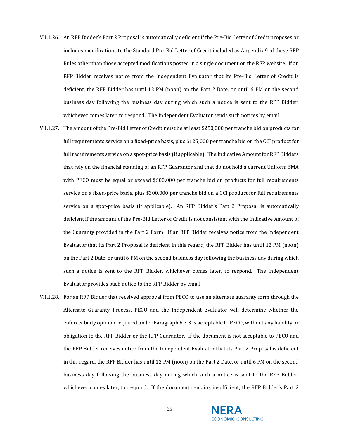- VII.1.26. An RFP Bidder's Part 2 Proposal is automatically deficient if the Pre-Bid Letter of Credit proposes or includes modifications to the Standard Pre-Bid Letter of Credit included as Appendix 9 of these RFP Rules other than those accepted modifications posted in a single document on the RFP website. If an RFP Bidder receives notice from the Independent Evaluator that its Pre-Bid Letter of Credit is deficient, the RFP Bidder has until 12 PM (noon) on the Part 2 Date, or until 6 PM on the second business day following the business day during which such a notice is sent to the RFP Bidder, whichever comes later, to respond. The Independent Evaluator sends such notices by email.
- VII.1.27. The amount of the Pre-Bid Letter of Credit must be at least \$250,000 per tranche bid on products for full requirements service on a fixed-price basis, plus \$125,000 per tranche bid on the CCI product for full requirements service on a spot-price basis (if applicable). The Indicative Amount for RFP Bidders that rely on the financial standing of an RFP Guarantor and that do not hold a current Uniform SMA with PECO must be equal or exceed \$600,000 per tranche bid on products for full requirements service on a fixed-price basis, plus \$300,000 per tranche bid on a CCI product for full requirements service on a spot-price basis (if applicable). An RFP Bidder's Part 2 Proposal is automatically deficient if the amount of the Pre-Bid Letter of Credit is not consistent with the Indicative Amount of the Guaranty provided in the Part 2 Form. If an RFP Bidder receives notice from the Independent Evaluator that its Part 2 Proposal is deficient in this regard, the RFP Bidder has until 12 PM (noon) on the Part 2 Date, or until 6 PM on the second business day following the business day during which such a notice is sent to the RFP Bidder, whichever comes later, to respond. The Independent Evaluator provides such notice to the RFP Bidder by email.
- VII.1.28. For an RFP Bidder that received approval from PECO to use an alternate guaranty form through the Alternate Guaranty Process, PECO and the Independent Evaluator will determine whether the enforceability opinion required under Paragrap[h V.3.3](#page-48-0) is acceptable to PECO, without any liability or obligation to the RFP Bidder or the RFP Guarantor. If the document is not acceptable to PECO and the RFP Bidder receives notice from the Independent Evaluator that its Part 2 Proposal is deficient in this regard, the RFP Bidder has until 12 PM (noon) on the Part 2 Date, or until 6 PM on the second business day following the business day during which such a notice is sent to the RFP Bidder, whichever comes later, to respond. If the document remains insufficient, the RFP Bidder's Part 2

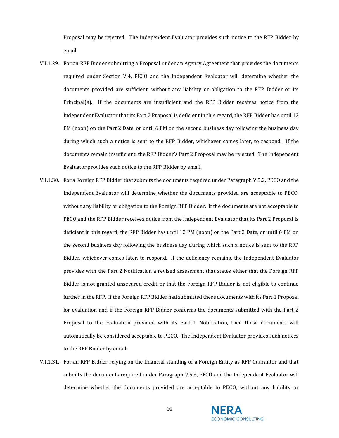Proposal may be rejected. The Independent Evaluator provides such notice to the RFP Bidder by email.

- VII.1.29. For an RFP Bidder submitting a Proposal under an Agency Agreement that provides the documents required under Section [V.4,](#page-49-0) PECO and the Independent Evaluator will determine whether the documents provided are sufficient, without any liability or obligation to the RFP Bidder or its Principal(s). If the documents are insufficient and the RFP Bidder receives notice from the Independent Evaluator that its Part 2 Proposal is deficient in this regard, the RFP Bidder has until 12 PM (noon) on the Part 2 Date, or until 6 PM on the second business day following the business day during which such a notice is sent to the RFP Bidder, whichever comes later, to respond. If the documents remain insufficient, the RFP Bidder's Part 2 Proposal may be rejected. The Independent Evaluator provides such notice to the RFP Bidder by email.
- VII.1.30. For a Foreign RFP Bidder that submits the documents required under Paragrap[h V.5.2,](#page-51-0) PECO and the Independent Evaluator will determine whether the documents provided are acceptable to PECO, without any liability or obligation to the Foreign RFP Bidder. If the documents are not acceptable to PECO and the RFP Bidder receives notice from the Independent Evaluator that its Part 2 Proposal is deficient in this regard, the RFP Bidder has until 12 PM (noon) on the Part 2 Date, or until 6 PM on the second business day following the business day during which such a notice is sent to the RFP Bidder, whichever comes later, to respond. If the deficiency remains, the Independent Evaluator provides with the Part 2 Notification a revised assessment that states either that the Foreign RFP Bidder is not granted unsecured credit or that the Foreign RFP Bidder is not eligible to continue further in the RFP. If the Foreign RFP Bidder had submitted these documents with its Part 1 Proposal for evaluation and if the Foreign RFP Bidder conforms the documents submitted with the Part 2 Proposal to the evaluation provided with its Part 1 Notification, then these documents will automatically be considered acceptable to PECO. The Independent Evaluator provides such notices to the RFP Bidder by email.
- VII.1.31. For an RFP Bidder relying on the financial standing of a Foreign Entity as RFP Guarantor and that submits the documents required under Paragraph [V.5.3,](#page-52-0) PECO and the Independent Evaluator will determine whether the documents provided are acceptable to PECO, without any liability or

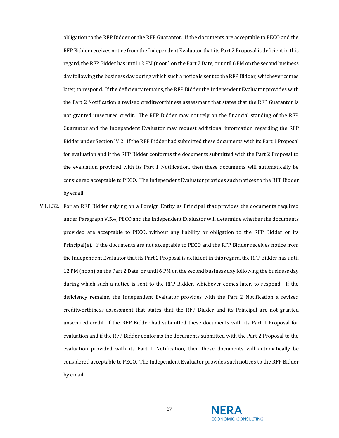obligation to the RFP Bidder or the RFP Guarantor. If the documents are acceptable to PECO and the RFP Bidder receives notice from the Independent Evaluator that its Part 2 Proposal is deficient in this regard, the RFP Bidder has until 12 PM (noon) on the Part 2 Date, or until 6 PM on the second business day following the business day during which such a notice is sent to the RFP Bidder, whichever comes later, to respond. If the deficiency remains, the RFP Bidder the Independent Evaluator provides with the Part 2 Notification a revised creditworthiness assessment that states that the RFP Guarantor is not granted unsecured credit. The RFP Bidder may not rely on the financial standing of the RFP Guarantor and the Independent Evaluator may request additional information regarding the RFP Bidder under Sectio[n IV.2.](#page-26-0) If the RFP Bidder had submitted these documents with its Part 1 Proposal for evaluation and if the RFP Bidder conforms the documents submitted with the Part 2 Proposal to the evaluation provided with its Part 1 Notification, then these documents will automatically be considered acceptable to PECO. The Independent Evaluator provides such notices to the RFP Bidder by email.

VII.1.32. For an RFP Bidder relying on a Foreign Entity as Principal that provides the documents required under Paragraph [V.5.4,](#page-53-0) PECO and the Independent Evaluator will determine whether the documents provided are acceptable to PECO, without any liability or obligation to the RFP Bidder or its Principal(s). If the documents are not acceptable to PECO and the RFP Bidder receives notice from the Independent Evaluator that its Part 2 Proposal is deficient in this regard, the RFP Bidder has until 12 PM (noon) on the Part 2 Date, or until 6 PM on the second business day following the business day during which such a notice is sent to the RFP Bidder, whichever comes later, to respond. If the deficiency remains, the Independent Evaluator provides with the Part 2 Notification a revised creditworthiness assessment that states that the RFP Bidder and its Principal are not granted unsecured credit. If the RFP Bidder had submitted these documents with its Part 1 Proposal for evaluation and if the RFP Bidder conforms the documents submitted with the Part 2 Proposal to the evaluation provided with its Part 1 Notification, then these documents will automatically be considered acceptable to PECO. The Independent Evaluator provides such notices to the RFP Bidder by email.

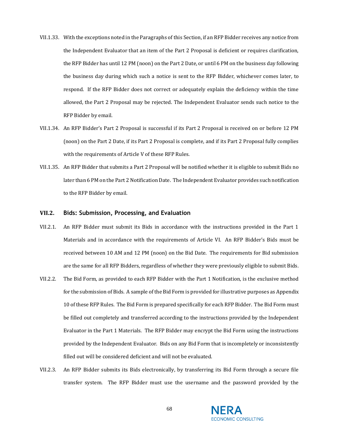- VII.1.33. With the exceptions noted in the Paragraphs of this Section, if an RFP Bidder receives any notice from the Independent Evaluator that an item of the Part 2 Proposal is deficient or requires clarification, the RFP Bidder has until 12 PM (noon) on the Part 2 Date, or until 6 PM on the business day following the business day during which such a notice is sent to the RFP Bidder, whichever comes later, to respond. If the RFP Bidder does not correct or adequately explain the deficiency within the time allowed, the Part 2 Proposal may be rejected. The Independent Evaluator sends such notice to the RFP Bidder by email.
- VII.1.34. An RFP Bidder's Part 2 Proposal is successful if its Part 2 Proposal is received on or before 12 PM (noon) on the Part 2 Date, if its Part 2 Proposal is complete, and if its Part 2 Proposal fully complies with the requirements of [Article V](#page-43-1) of these RFP Rules.
- VII.1.35. An RFP Bidder that submits a Part 2 Proposal will be notified whether it is eligible to submit Bids no later than 6 PM on the Part 2 Notification Date. The Independent Evaluator provides such notification to the RFP Bidder by email.

## <span id="page-67-0"></span>**VII.2. Bids: Submission, Processing, and Evaluation**

- VII.2.1. An RFP Bidder must submit its Bids in accordance with the instructions provided in the Part 1 Materials and in accordance with the requirements of [Article VI.](#page-54-0) An RFP Bidder's Bids must be received between 10 AM and 12 PM (noon) on the Bid Date. The requirements for Bid submission are the same for all RFP Bidders, regardless of whether they were previously eligible to submit Bids.
- VII.2.2. The Bid Form, as provided to each RFP Bidder with the Part 1 Notification, is the exclusive method for the submission of Bids. A sample of the Bid Form is provided for illustrative purposes as Appendix 10 of these RFP Rules. The Bid Form is prepared specifically for each RFP Bidder. The Bid Form must be filled out completely and transferred according to the instructions provided by the Independent Evaluator in the Part 1 Materials. The RFP Bidder may encrypt the Bid Form using the instructions provided by the Independent Evaluator. Bids on any Bid Form that is incompletely or inconsistently filled out will be considered deficient and will not be evaluated.
- VII.2.3. An RFP Bidder submits its Bids electronically, by transferring its Bid Form through a secure file transfer system. The RFP Bidder must use the username and the password provided by the

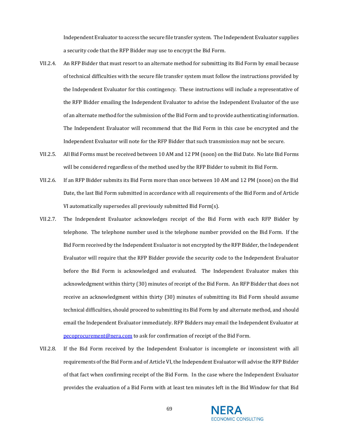Independent Evaluator to access the secure file transfer system. The Independent Evaluator supplies a security code that the RFP Bidder may use to encrypt the Bid Form.

- VII.2.4. An RFP Bidder that must resort to an alternate method for submitting its Bid Form by email because of technical difficulties with the secure file transfer system must follow the instructions provided by the Independent Evaluator for this contingency. These instructions will include a representative of the RFP Bidder emailing the Independent Evaluator to advise the Independent Evaluator of the use of an alternate method for the submission of the Bid Form and to provide authenticating information. The Independent Evaluator will recommend that the Bid Form in this case be encrypted and the Independent Evaluator will note for the RFP Bidder that such transmission may not be secure.
- VII.2.5. All Bid Forms must be received between 10 AM and 12 PM (noon) on the Bid Date. No late Bid Forms will be considered regardless of the method used by the RFP Bidder to submit its Bid Form.
- VII.2.6. If an RFP Bidder submits its Bid Form more than once between 10 AM and 12 PM (noon) on the Bid Date, the last Bid Form submitted in accordance with all requirements of the Bid Form and o[f Article](#page-55-0)  [VI](#page-55-0) automatically supersedes all previously submitted Bid Form(s).
- VII.2.7. The Independent Evaluator acknowledges receipt of the Bid Form with each RFP Bidder by telephone. The telephone number used is the telephone number provided on the Bid Form. If the Bid Form received by the Independent Evaluator is not encrypted by the RFP Bidder, the Independent Evaluator will require that the RFP Bidder provide the security code to the Independent Evaluator before the Bid Form is acknowledged and evaluated. The Independent Evaluator makes this acknowledgment within thirty (30) minutes of receipt of the Bid Form. An RFP Bidder that does not receive an acknowledgment within thirty (30) minutes of submitting its Bid Form should assume technical difficulties, should proceed to submitting its Bid Form by and alternate method, and should email the Independent Evaluator immediately. RFP Bidders may email the Independent Evaluator at [pecoprocurement@nera.com](mailto:pecoprocurement@nera.com) to ask for confirmation of receipt of the Bid Form.
- <span id="page-68-0"></span>VII.2.8. If the Bid Form received by the Independent Evaluator is incomplete or inconsistent with all requirements of the Bid Form and of [Article VI,](#page-55-0) the Independent Evaluator will advise the RFP Bidder of that fact when confirming receipt of the Bid Form. In the case where the Independent Evaluator provides the evaluation of a Bid Form with at least ten minutes left in the Bid Window for that Bid

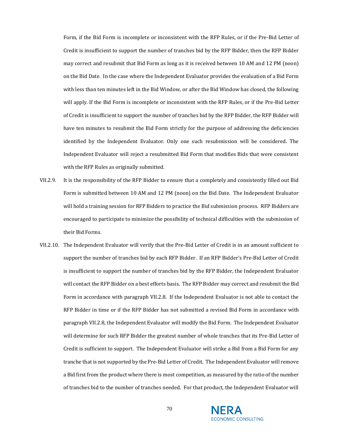Form, if the Bid Form is incomplete or inconsistent with the RFP Rules, or if the Pre-Bid Letter of Credit is insufficient to support the number of tranches bid by the RFP Bidder, then the RFP Bidder may correct and resubmit that Bid Form as long as it is received between 10 AM and 12 PM (noon) on the Bid Date. In the case where the Independent Evaluator provides the evaluation of a Bid Form with less than ten minutes left in the Bid Window, or after the Bid Window has closed, the following will apply. If the Bid Form is incomplete or inconsistent with the RFP Rules, or if the Pre-Bid Letter of Credit is insufficient to support the number of tranches bid by the RFP Bidder, the RFP Bidder will have ten minutes to resubmit the Bid Form strictly for the purpose of addressing the deficiencies identified by the Independent Evaluator. Only one such resubmission will be considered. The Independent Evaluator will reject a resubmitted Bid Form that modifies Bids that were consistent with the RFP Rules as originally submitted.

- VII.2.9. It is the responsibility of the RFP Bidder to ensure that a completely and consistently filled out Bid Form is submitted between 10 AM and 12 PM (noon) on the Bid Date. The Independent Evaluator will hold a training session for RFP Bidders to practice the Bid submission process. RFP Bidders are encouraged to participate to minimize the possibility of technical difficulties with the submission of their Bid Forms.
- <span id="page-69-0"></span>VII.2.10. The Independent Evaluator will verify that the Pre-Bid Letter of Credit is in an amount sufficient to support the number of tranches bid by each RFP Bidder. If an RFP Bidder's Pre-Bid Letter of Credit is insufficient to support the number of tranches bid by the RFP Bidder, the Independent Evaluator will contact the RFP Bidder on a best efforts basis. The RFP Bidder may correct and resubmit the Bid Form in accordance with paragraph [VII.2.8.](#page-68-0) If the Independent Evaluator is not able to contact the RFP Bidder in time or if the RFP Bidder has not submitted a revised Bid Form in accordance with paragraph [VII.2.8,](#page-68-0) the Independent Evaluator will modify the Bid Form. The Independent Evaluator will determine for such RFP Bidder the greatest number of whole tranches that its Pre-Bid Letter of Credit is sufficient to support. The Independent Evaluator will strike a Bid from a Bid Form for any tranche that is not supported by the Pre-Bid Letter of Credit. The Independent Evaluator will remove a Bid first from the product where there is most competition, as measured by the ratio of the number of tranches bid to the number of tranches needed. For that product, the Independent Evaluator will

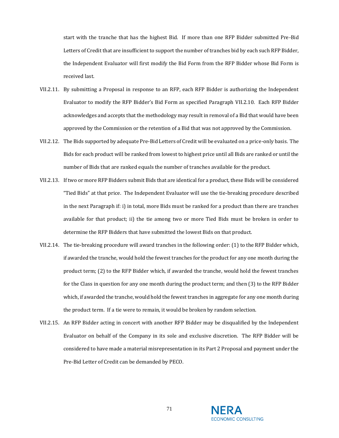start with the tranche that has the highest Bid. If more than one RFP Bidder submitted Pre-Bid Letters of Credit that are insufficient to support the number of tranches bid by each such RFP Bidder, the Independent Evaluator will first modify the Bid Form from the RFP Bidder whose Bid Form is received last.

- VII.2.11. By submitting a Proposal in response to an RFP, each RFP Bidder is authorizing the Independent Evaluator to modify the RFP Bidder's Bid Form as specified Paragraph [VII.2.10.](#page-69-0) Each RFP Bidder acknowledges and accepts that the methodology may result in removal of a Bid that would have been approved by the Commission or the retention of a Bid that was not approved by the Commission.
- VII.2.12. The Bids supported by adequate Pre-Bid Letters of Credit will be evaluated on a price-only basis. The Bids for each product will be ranked from lowest to highest price until all Bids are ranked or until the number of Bids that are ranked equals the number of tranches available for the product.
- VII.2.13. If two or more RFP Bidders submit Bids that are identical for a product, these Bids will be considered "Tied Bids" at that price. The Independent Evaluator will use the tie-breaking procedure described in the next Paragraph if: i) in total, more Bids must be ranked for a product than there are tranches available for that product; ii) the tie among two or more Tied Bids must be broken in order to determine the RFP Bidders that have submitted the lowest Bids on that product.
- VII.2.14. The tie-breaking procedure will award tranches in the following order: (1) to the RFP Bidder which, if awarded the tranche, would hold the fewest tranches for the product for any one month during the product term; (2) to the RFP Bidder which, if awarded the tranche, would hold the fewest tranches for the Class in question for any one month during the product term; and then (3) to the RFP Bidder which, if awarded the tranche, would hold the fewest tranches in aggregate for any one month during the product term. If a tie were to remain, it would be broken by random selection.
- VII.2.15. An RFP Bidder acting in concert with another RFP Bidder may be disqualified by the Independent Evaluator on behalf of the Company in its sole and exclusive discretion. The RFP Bidder will be considered to have made a material misrepresentation in its Part 2 Proposal and payment under the Pre-Bid Letter of Credit can be demanded by PECO.

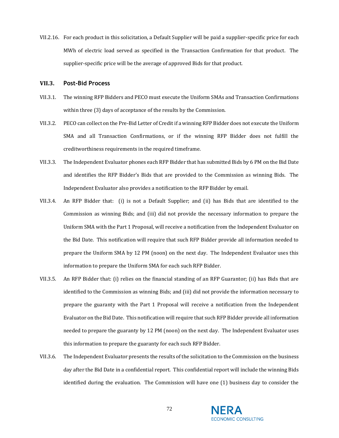VII.2.16. For each product in this solicitation, a Default Supplier will be paid a supplier-specific price for each MWh of electric load served as specified in the Transaction Confirmation for that product. The supplier-specific price will be the average of approved Bids for that product.

## <span id="page-71-0"></span>**VII.3. Post-Bid Process**

- VII.3.1. The winning RFP Bidders and PECO must execute the Uniform SMAs and Transaction Confirmations within three (3) days of acceptance of the results by the Commission.
- VII.3.2. PECO can collect on the Pre-Bid Letter of Credit if a winning RFP Bidder does not execute the Uniform SMA and all Transaction Confirmations, or if the winning RFP Bidder does not fulfill the creditworthiness requirements in the required timeframe.
- VII.3.3. The Independent Evaluator phones each RFP Bidder that has submitted Bids by 6 PM on the Bid Date and identifies the RFP Bidder's Bids that are provided to the Commission as winning Bids. The Independent Evaluator also provides a notification to the RFP Bidder by email.
- VII.3.4. An RFP Bidder that: (i) is not a Default Supplier; and (ii) has Bids that are identified to the Commission as winning Bids; and (iii) did not provide the necessary information to prepare the Uniform SMA with the Part 1 Proposal, will receive a notification from the Independent Evaluator on the Bid Date. This notification will require that such RFP Bidder provide all information needed to prepare the Uniform SMA by 12 PM (noon) on the next day. The Independent Evaluator uses this information to prepare the Uniform SMA for each such RFP Bidder.
- VII.3.5. An RFP Bidder that: (i) relies on the financial standing of an RFP Guarantor; (ii) has Bids that are identified to the Commission as winning Bids; and (iii) did not provide the information necessary to prepare the guaranty with the Part 1 Proposal will receive a notification from the Independent Evaluator on the Bid Date. This notification will require that such RFP Bidder provide all information needed to prepare the guaranty by 12 PM (noon) on the next day. The Independent Evaluator uses this information to prepare the guaranty for each such RFP Bidder.
- VII.3.6. The Independent Evaluator presents the results of the solicitation to the Commission on the business day after the Bid Date in a confidential report. This confidential report will include the winning Bids identified during the evaluation. The Commission will have one (1) business day to consider the

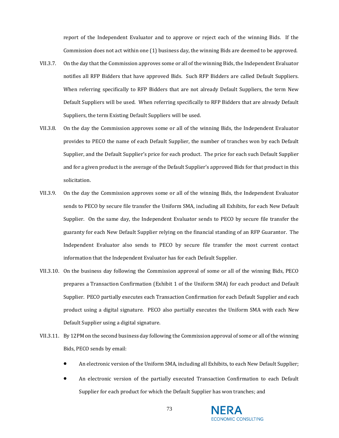report of the Independent Evaluator and to approve or reject each of the winning Bids. If the Commission does not act within one (1) business day, the winning Bids are deemed to be approved.

- VII.3.7. On the day that the Commission approves some or all of the winning Bids, the Independent Evaluator notifies all RFP Bidders that have approved Bids. Such RFP Bidders are called Default Suppliers. When referring specifically to RFP Bidders that are not already Default Suppliers, the term New Default Suppliers will be used. When referring specifically to RFP Bidders that are already Default Suppliers, the term Existing Default Suppliers will be used.
- VII.3.8. On the day the Commission approves some or all of the winning Bids, the Independent Evaluator provides to PECO the name of each Default Supplier, the number of tranches won by each Default Supplier, and the Default Supplier's price for each product. The price for each such Default Supplier and for a given product is the average of the Default Supplier's approved Bids for that product in this solicitation.
- VII.3.9. On the day the Commission approves some or all of the winning Bids, the Independent Evaluator sends to PECO by secure file transfer the Uniform SMA, including all Exhibits, for each New Default Supplier. On the same day, the Independent Evaluator sends to PECO by secure file transfer the guaranty for each New Default Supplier relying on the financial standing of an RFP Guarantor. The Independent Evaluator also sends to PECO by secure file transfer the most current contact information that the Independent Evaluator has for each Default Supplier.
- VII.3.10. On the business day following the Commission approval of some or all of the winning Bids, PECO prepares a Transaction Confirmation (Exhibit 1 of the Uniform SMA) for each product and Default Supplier. PECO partially executes each Transaction Confirmation for each Default Supplier and each product using a digital signature. PECO also partially executes the Uniform SMA with each New Default Supplier using a digital signature.
- VII.3.11. By 12PM on the second business day following the Commission approval of some or all of the winning Bids, PECO sends by email:
	- An electronic version of the Uniform SMA, including all Exhibits, to each New Default Supplier;
	- An electronic version of the partially executed Transaction Confirmation to each Default Supplier for each product for which the Default Supplier has won tranches; and



73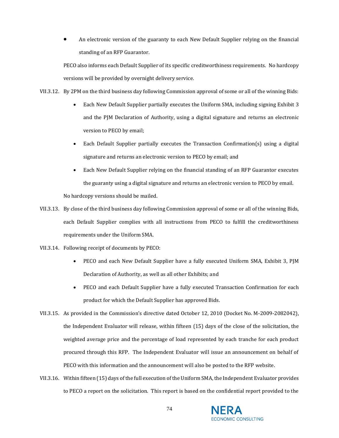• An electronic version of the guaranty to each New Default Supplier relying on the financial standing of an RFP Guarantor.

PECO also informs each Default Supplier of its specific creditworthiness requirements. No hardcopy versions will be provided by overnight delivery service.

VII.3.12. By 2PM on the third business day following Commission approval of some or all of the winning Bids:

- Each New Default Supplier partially executes the Uniform SMA, including signing Exhibit 3 and the PJM Declaration of Authority, using a digital signature and returns an electronic version to PECO by email;
- Each Default Supplier partially executes the Transaction Confirmation(s) using a digital signature and returns an electronic version to PECO by email; and
- Each New Default Supplier relying on the financial standing of an RFP Guarantor executes the guaranty using a digital signature and returns an electronic version to PECO by email.

No hardcopy versions should be mailed.

- VII.3.13. By close of the third business day following Commission approval of some or all of the winning Bids, each Default Supplier complies with all instructions from PECO to fulfill the creditworthiness requirements under the Uniform SMA.
- VII.3.14. Following receipt of documents by PECO:
	- PECO and each New Default Supplier have a fully executed Uniform SMA, Exhibit 3, PJM Declaration of Authority, as well as all other Exhibits; and
	- PECO and each Default Supplier have a fully executed Transaction Confirmation for each product for which the Default Supplier has approved Bids.
- VII.3.15. As provided in the Commission's directive dated October 12, 2010 (Docket No. M-2009-2082042), the Independent Evaluator will release, within fifteen (15) days of the close of the solicitation, the weighted average price and the percentage of load represented by each tranche for each product procured through this RFP. The Independent Evaluator will issue an announcement on behalf of PECO with this information and the announcement will also be posted to the RFP website.
- VII.3.16. Within fifteen (15) days of the full execution of the Uniform SMA, the Independent Evaluator provides to PECO a report on the solicitation. This report is based on the confidential report provided to the

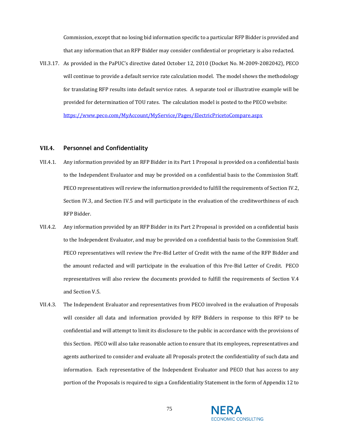Commission, except that no losing bid information specific to a particular RFP Bidder is provided and that any information that an RFP Bidder may consider confidential or proprietary is also redacted.

VII.3.17. As provided in the PaPUC's directive dated October 12, 2010 (Docket No. M-2009-2082042), PECO will continue to provide a default service rate calculation model. The model shows the methodology for translating RFP results into default service rates. A separate tool or illustrative example will be provided for determination of TOU rates. The calculation model is posted to the PECO website: <https://www.peco.com/MyAccount/MyService/Pages/ElectricPricetoCompare.aspx>

## **VII.4. Personnel and Confidentiality**

- VII.4.1. Any information provided by an RFP Bidder in its Part 1 Proposal is provided on a confidential basis to the Independent Evaluator and may be provided on a confidential basis to the Commission Staff. PECO representatives will review the information provided to fulfill the requirements of Sectio[n IV.2,](#page-26-0) Section IV.3, and Section [IV.5](#page-37-0) and will participate in the evaluation of the creditworthiness of each RFP Bidder.
- VII.4.2. Any information provided by an RFP Bidder in its Part 2 Proposal is provided on a confidential basis to the Independent Evaluator, and may be provided on a confidential basis to the Commission Staff. PECO representatives will review the Pre-Bid Letter of Credit with the name of the RFP Bidder and the amount redacted and will participate in the evaluation of this Pre-Bid Letter of Credit. PECO representatives will also review the documents provided to fulfill the requirements of Section [V.4](#page-49-0) and Section [V.5.](#page-50-0)
- VII.4.3. The Independent Evaluator and representatives from PECO involved in the evaluation of Proposals will consider all data and information provided by RFP Bidders in response to this RFP to be confidential and will attempt to limit its disclosure to the public in accordance with the provisions of this Section. PECO will also take reasonable action to ensure that its employees, representatives and agents authorized to consider and evaluate all Proposals protect the confidentiality of such data and information. Each representative of the Independent Evaluator and PECO that has access to any portion of the Proposals is required to sign a Confidentiality Statement in the form of Appendix 12 to

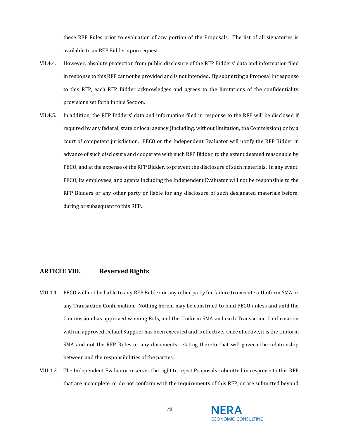these RFP Rules prior to evaluation of any portion of the Proposals. The list of all signatories is available to an RFP Bidder upon request.

- VII.4.4. However, absolute protection from public disclosure of the RFP Bidders' data and information filed in response to this RFP cannot be provided and is not intended. By submitting a Proposal in response to this RFP, each RFP Bidder acknowledges and agrees to the limitations of the confidentiality provisions set forth in this Section.
- VII.4.5. In addition, the RFP Bidders' data and information filed in response to the RFP will be disclosed if required by any federal, state or local agency (including, without limitation, the Commission) or by a court of competent jurisdiction. PECO or the Independent Evaluator will notify the RFP Bidder in advance of such disclosure and cooperate with such RFP Bidder, to the extent deemed reasonable by PECO, and at the expense of the RFP Bidder, to prevent the disclosure of such materials. In any event, PECO, its employees, and agents including the Independent Evaluator will not be responsible to the RFP Bidders or any other party or liable for any disclosure of such designated materials before, during or subsequent to this RFP.

## **ARTICLE VIII. Reserved Rights**

- VIII.1.1. PECO will not be liable to any RFP Bidder or any other party for failure to execute a Uniform SMA or any Transaction Confirmation. Nothing herein may be construed to bind PECO unless and until the Commission has approved winning Bids, and the Uniform SMA and each Transaction Confirmation with an approved Default Supplier has been executed and is effective. Once effective, it is the Uniform SMA and not the RFP Rules or any documents relating thereto that will govern the relationship between and the responsibilities of the parties.
- VIII.1.2. The Independent Evaluator reserves the right to reject Proposals submitted in response to this RFP that are incomplete, or do not conform with the requirements of this RFP, or are submitted beyond